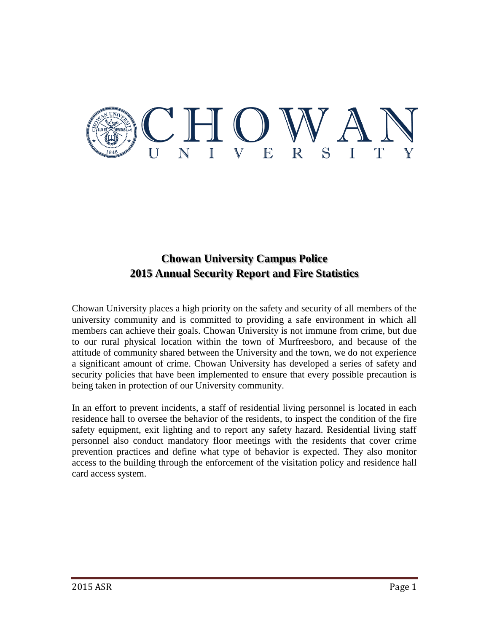

# **Chowan University Campus Police 2015 Annual Security Report and Fire Statistics**

Chowan University places a high priority on the safety and security of all members of the university community and is committed to providing a safe environment in which all members can achieve their goals. Chowan University is not immune from crime, but due to our rural physical location within the town of Murfreesboro, and because of the attitude of community shared between the University and the town, we do not experience a significant amount of crime. Chowan University has developed a series of safety and security policies that have been implemented to ensure that every possible precaution is being taken in protection of our University community.

In an effort to prevent incidents, a staff of residential living personnel is located in each residence hall to oversee the behavior of the residents, to inspect the condition of the fire safety equipment, exit lighting and to report any safety hazard. Residential living staff personnel also conduct mandatory floor meetings with the residents that cover crime prevention practices and define what type of behavior is expected. They also monitor access to the building through the enforcement of the visitation policy and residence hall card access system.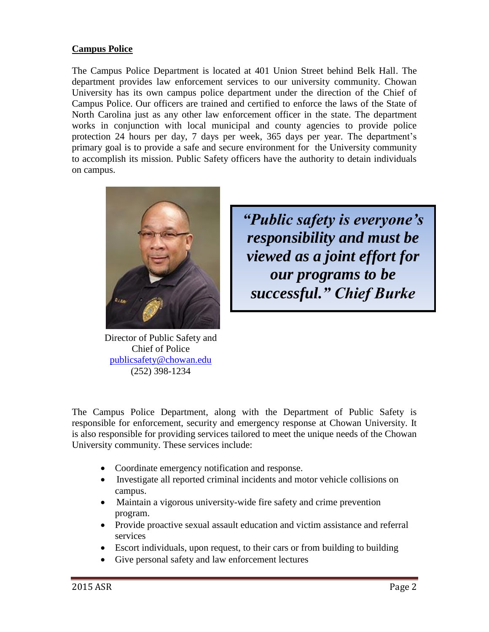### **Campus Police**

The Campus Police Department is located at 401 Union Street behind Belk Hall. The department provides law enforcement services to our university community. Chowan University has its own campus police department under the direction of the Chief of Campus Police. Our officers are trained and certified to enforce the laws of the State of North Carolina just as any other law enforcement officer in the state. The department works in conjunction with local municipal and county agencies to provide police protection 24 hours per day, 7 days per week, 365 days per year. The department's primary goal is to provide a safe and secure environment for the University community to accomplish its mission. Public Safety officers have the authority to detain individuals on campus.



Director of Public Safety and Chief of Police [publicsafety@chowan.edu](mailto:publicsafety@chowan.edu) (252) 398-1234

*"Public safety is everyone's responsibility and must be viewed as a joint effort for our programs to be successful." Chief Burke*

The Campus Police Department, along with the Department of Public Safety is responsible for enforcement, security and emergency response at Chowan University. It is also responsible for providing services tailored to meet the unique needs of the Chowan University community. These services include:

- Coordinate emergency notification and response.
- Investigate all reported criminal incidents and motor vehicle collisions on campus.
- Maintain a vigorous university-wide fire safety and crime prevention program.
- Provide proactive sexual assault education and victim assistance and referral services
- Escort individuals, upon request, to their cars or from building to building
- Give personal safety and law enforcement lectures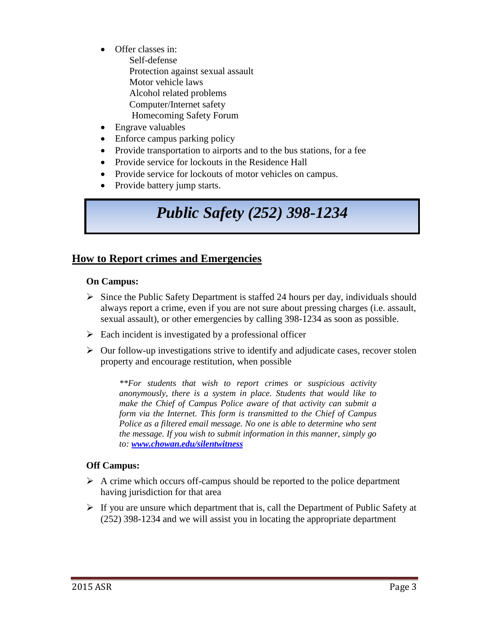- Offer classes in:
	- Self-defense Protection against sexual assault Motor vehicle laws Alcohol related problems Computer/Internet safety Homecoming Safety Forum
- Engrave valuables
- Enforce campus parking policy
- Provide transportation to airports and to the bus stations, for a fee
- Provide service for lockouts in the Residence Hall
- Provide service for lockouts of motor vehicles on campus.
- Provide battery jump starts.

# *Public Safety (252) 398-1234*

## **How to Report crimes and Emergencies**

#### **On Campus:**

- $\triangleright$  Since the Public Safety Department is staffed 24 hours per day, individuals should always report a crime, even if you are not sure about pressing charges (i.e. assault, sexual assault), or other emergencies by calling 398-1234 as soon as possible.
- $\triangleright$  Each incident is investigated by a professional officer
- $\triangleright$  Our follow-up investigations strive to identify and adjudicate cases, recover stolen property and encourage restitution, when possible

*\*\*For students that wish to report crimes or suspicious activity anonymously, there is a system in place. Students that would like to make the Chief of Campus Police aware of that activity can submit a form via the Internet. This form is transmitted to the Chief of Campus Police as a filtered email message. No one is able to determine who sent the message. If you wish to submit information in this manner, simply go to: [www.chowan.edu/silentwitness](http://www.chowan.edu/silentwitness)*

#### **Off Campus:**

- $\triangleright$  A crime which occurs off-campus should be reported to the police department having jurisdiction for that area
- $\triangleright$  If you are unsure which department that is, call the Department of Public Safety at (252) 398-1234 and we will assist you in locating the appropriate department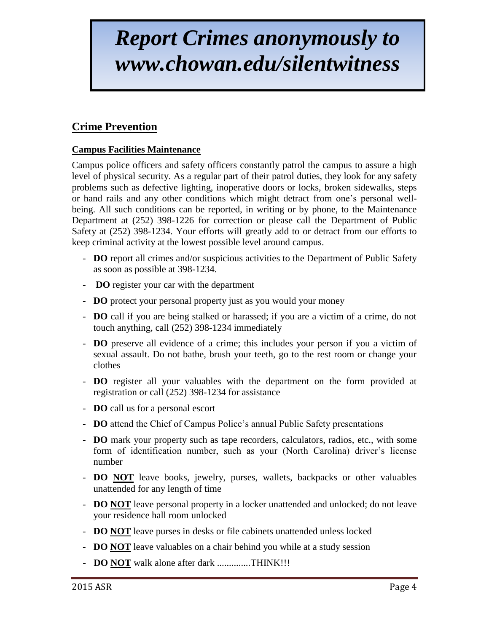# *Report Crimes anonymously to www.chowan.edu/silentwitness*

# **Crime Prevention**

### **Campus Facilities Maintenance**

Campus police officers and safety officers constantly patrol the campus to assure a high level of physical security. As a regular part of their patrol duties, they look for any safety problems such as defective lighting, inoperative doors or locks, broken sidewalks, steps or hand rails and any other conditions which might detract from one's personal wellbeing. All such conditions can be reported, in writing or by phone, to the Maintenance Department at (252) 398-1226 for correction or please call the Department of Public Safety at (252) 398-1234. Your efforts will greatly add to or detract from our efforts to keep criminal activity at the lowest possible level around campus.

- **DO** report all crimes and/or suspicious activities to the Department of Public Safety as soon as possible at 398-1234.
- **DO** register your car with the department
- **DO** protect your personal property just as you would your money
- **DO** call if you are being stalked or harassed; if you are a victim of a crime, do not touch anything, call (252) 398-1234 immediately
- **DO** preserve all evidence of a crime; this includes your person if you a victim of sexual assault. Do not bathe, brush your teeth, go to the rest room or change your clothes
- **DO** register all your valuables with the department on the form provided at registration or call (252) 398-1234 for assistance
- **DO** call us for a personal escort
- **DO** attend the Chief of Campus Police's annual Public Safety presentations
- **DO** mark your property such as tape recorders, calculators, radios, etc., with some form of identification number, such as your (North Carolina) driver's license number
- **DO NOT** leave books, jewelry, purses, wallets, backpacks or other valuables unattended for any length of time
- **DO NOT** leave personal property in a locker unattended and unlocked; do not leave your residence hall room unlocked
- **DO NOT** leave purses in desks or file cabinets unattended unless locked
- **DO NOT** leave valuables on a chair behind you while at a study session
- **DO NOT** walk alone after dark ..............THINK!!!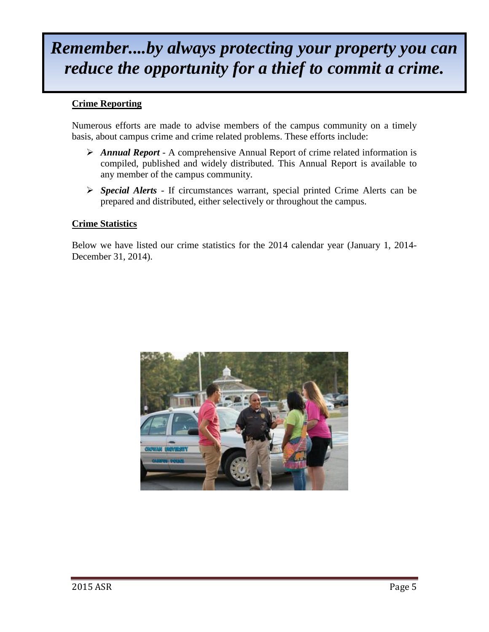# *Remember....by always protecting your property you can reduce the opportunity for a thief to commit a crime.*

#### **Crime Reporting**

Numerous efforts are made to advise members of the campus community on a timely basis, about campus crime and crime related problems. These efforts include:

- *Annual Report* A comprehensive Annual Report of crime related information is compiled, published and widely distributed. This Annual Report is available to any member of the campus community.
- *Special Alerts* If circumstances warrant, special printed Crime Alerts can be prepared and distributed, either selectively or throughout the campus.

#### **Crime Statistics**

Below we have listed our crime statistics for the 2014 calendar year (January 1, 2014- December 31, 2014).

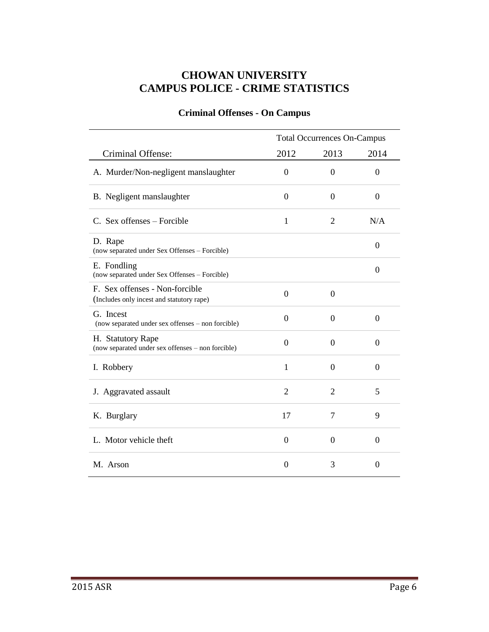## **CHOWAN UNIVERSITY CAMPUS POLICE - CRIME STATISTICS**

# Criminal Offense: Total Occurrences On-Campus 2012 2013 2014 A. Murder/Non-negligent manslaughter 0 0 0 0 0 B. Negligent manslaughter 0 0 0 0 0 C. Sex offenses – Forcible  $1$  2 N/A D. Rape (now separated under Sex Offenses – Forcible) <sup>0</sup> E. Fondling E. FOIIIIIIIIIIII<br>
(now separated under Sex Offenses – Forcible) 0 F. Sex offenses - Non-forcible (Includes only incest and statutory rape) 0 0 G. Incest (now separated under sex offenses – non forcible) <sup>0</sup> <sup>0</sup> <sup>0</sup> H. Statutory Rape  $(1)$  Matutory Kape<br>  $(2)$  (now separated under sex offenses – non forcible)  $(0)$  0 0 0 I. Robbery 1 0 0 0 J. Aggravated assault 2 2 5 K. Burglary 17 7 9 L. Motor vehicle theft  $0$   $0$   $0$ M. Arson 0 3 0

#### **Criminal Offenses - On Campus**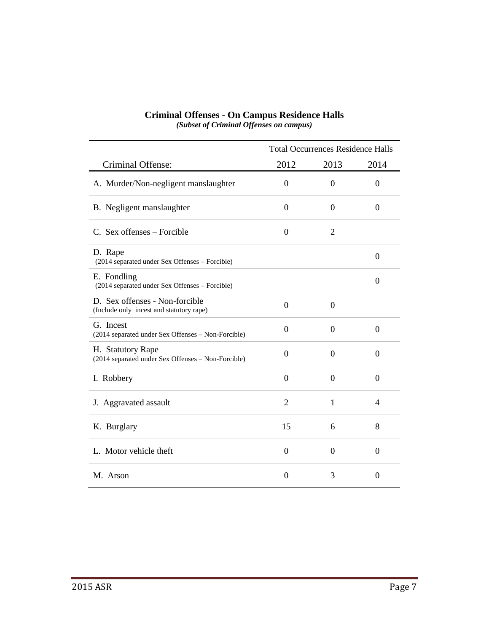|                                                                            | <b>Total Occurrences Residence Halls</b> |                  |                  |  |  |
|----------------------------------------------------------------------------|------------------------------------------|------------------|------------------|--|--|
| Criminal Offense:                                                          | 2012                                     | 2013             | 2014             |  |  |
| A. Murder/Non-negligent manslaughter                                       | $\theta$                                 | $\Omega$         | $\Omega$         |  |  |
| B. Negligent manslaughter                                                  | $\boldsymbol{0}$                         | $\boldsymbol{0}$ | 0                |  |  |
| C. Sex offenses – Forcible                                                 | $\boldsymbol{0}$                         | $\overline{2}$   |                  |  |  |
| D. Rape<br>(2014 separated under Sex Offenses - Forcible)                  |                                          |                  | $\overline{0}$   |  |  |
| E. Fondling<br>(2014 separated under Sex Offenses - Forcible)              |                                          |                  | $\boldsymbol{0}$ |  |  |
| D. Sex offenses - Non-forcible<br>(Include only incest and statutory rape) | $\boldsymbol{0}$                         | $\boldsymbol{0}$ |                  |  |  |
| G. Incest<br>(2014 separated under Sex Offenses - Non-Forcible)            | $\boldsymbol{0}$                         | $\theta$         | $\overline{0}$   |  |  |
| H. Statutory Rape<br>(2014 separated under Sex Offenses - Non-Forcible)    | $\boldsymbol{0}$                         | $\boldsymbol{0}$ | $\boldsymbol{0}$ |  |  |
| I. Robbery                                                                 | $\boldsymbol{0}$                         | $\boldsymbol{0}$ | $\boldsymbol{0}$ |  |  |
| J. Aggravated assault                                                      | $\overline{2}$                           | 1                | 4                |  |  |
| K. Burglary                                                                | 15                                       | 6                | 8                |  |  |
| L. Motor vehicle theft                                                     | $\boldsymbol{0}$                         | $\boldsymbol{0}$ | 0                |  |  |
| M. Arson                                                                   | $\overline{0}$                           | 3                | $\theta$         |  |  |

#### **Criminal Offenses - On Campus Residence Halls** *(Subset of Criminal Offenses on campus)*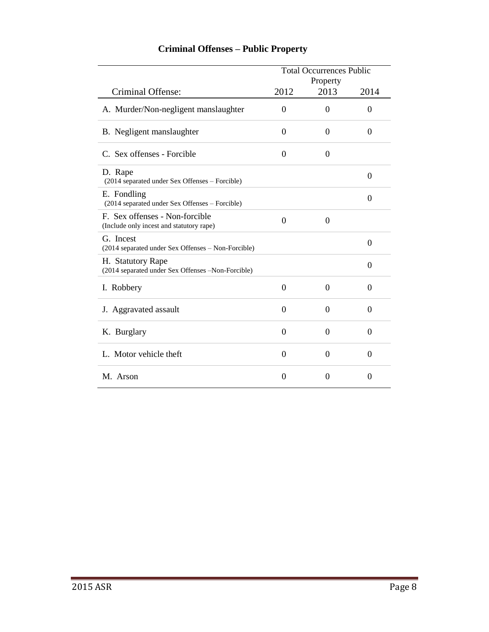|                                                                            | <b>Total Occurrences Public</b> |                  |          |  |  |
|----------------------------------------------------------------------------|---------------------------------|------------------|----------|--|--|
| Criminal Offense:                                                          | 2012                            | Property<br>2013 | 2014     |  |  |
| A. Murder/Non-negligent manslaughter                                       | $\Omega$                        | $\theta$         | $\theta$ |  |  |
| B. Negligent manslaughter                                                  | 0                               | $\theta$         | 0        |  |  |
| C. Sex offenses - Forcible                                                 | $\theta$                        | $\theta$         |          |  |  |
| D. Rape<br>(2014 separated under Sex Offenses - Forcible)                  |                                 |                  | $\theta$ |  |  |
| E. Fondling<br>(2014 separated under Sex Offenses - Forcible)              |                                 |                  | $\theta$ |  |  |
| F. Sex offenses - Non-forcible<br>(Include only incest and statutory rape) | $\theta$                        | $\theta$         |          |  |  |
| G. Incest<br>(2014 separated under Sex Offenses - Non-Forcible)            |                                 |                  | 0        |  |  |
| H. Statutory Rape<br>(2014 separated under Sex Offenses -Non-Forcible)     |                                 |                  | $\theta$ |  |  |
| I. Robbery                                                                 | $\overline{0}$                  | $\overline{0}$   | 0        |  |  |
| J. Aggravated assault                                                      | $\overline{0}$                  | $\Omega$         | $\theta$ |  |  |
| K. Burglary                                                                | $\overline{0}$                  | $\overline{0}$   | $\theta$ |  |  |
| L. Motor vehicle theft                                                     | $\theta$                        | $\theta$         | $\theta$ |  |  |
| M. Arson                                                                   | $\overline{0}$                  | $\theta$         | $\theta$ |  |  |

## **Criminal Offenses – Public Property**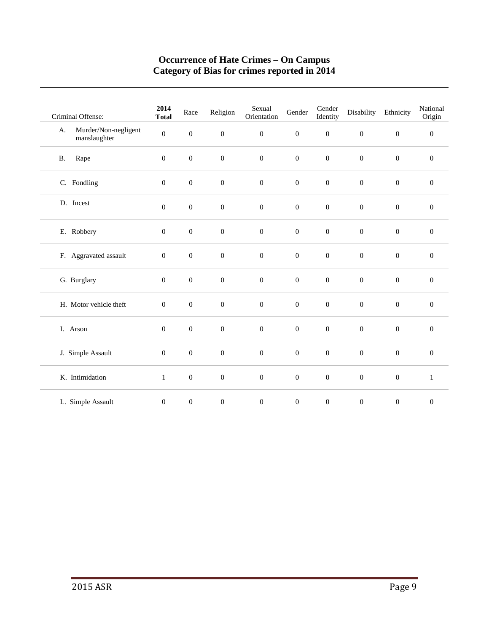#### **Occurrence of Hate Crimes – On Campus Category of Bias for crimes reported in 2014**

| Criminal Offense:                          | 2014<br><b>Total</b> | Race             | Religion         | Sexual<br>Orientation | Gender           | Gender<br>Identity | Disability       | Ethnicity        | National<br>Origin |
|--------------------------------------------|----------------------|------------------|------------------|-----------------------|------------------|--------------------|------------------|------------------|--------------------|
| Murder/Non-negligent<br>A.<br>manslaughter | $\boldsymbol{0}$     | $\boldsymbol{0}$ | $\boldsymbol{0}$ | $\boldsymbol{0}$      | $\boldsymbol{0}$ | $\boldsymbol{0}$   | $\boldsymbol{0}$ | $\boldsymbol{0}$ | $\boldsymbol{0}$   |
| Rape<br><b>B.</b>                          | $\mathbf{0}$         | $\mathbf{0}$     | $\boldsymbol{0}$ | $\boldsymbol{0}$      | $\boldsymbol{0}$ | $\boldsymbol{0}$   | $\boldsymbol{0}$ | $\boldsymbol{0}$ | $\boldsymbol{0}$   |
| C. Fondling                                | $\mathbf{0}$         | $\boldsymbol{0}$ | $\boldsymbol{0}$ | $\boldsymbol{0}$      | $\boldsymbol{0}$ | $\boldsymbol{0}$   | $\boldsymbol{0}$ | $\boldsymbol{0}$ | $\boldsymbol{0}$   |
| D. Incest                                  | $\mathbf{0}$         | $\boldsymbol{0}$ | $\boldsymbol{0}$ | $\boldsymbol{0}$      | $\boldsymbol{0}$ | $\boldsymbol{0}$   | $\boldsymbol{0}$ | $\boldsymbol{0}$ | $\boldsymbol{0}$   |
| E. Robbery                                 | $\mathbf{0}$         | $\boldsymbol{0}$ | $\boldsymbol{0}$ | $\boldsymbol{0}$      | $\boldsymbol{0}$ | $\boldsymbol{0}$   | $\boldsymbol{0}$ | $\boldsymbol{0}$ | $\mathbf{0}$       |
| F. Aggravated assault                      | $\boldsymbol{0}$     | $\boldsymbol{0}$ | $\boldsymbol{0}$ | $\boldsymbol{0}$      | $\boldsymbol{0}$ | $\boldsymbol{0}$   | $\boldsymbol{0}$ | $\mathbf{0}$     | $\mathbf{0}$       |
| G. Burglary                                | $\mathbf{0}$         | $\mathbf{0}$     | $\boldsymbol{0}$ | $\boldsymbol{0}$      | $\boldsymbol{0}$ | $\boldsymbol{0}$   | $\boldsymbol{0}$ | $\mathbf{0}$     | $\overline{0}$     |
| H. Motor vehicle theft                     | $\mathbf{0}$         | $\boldsymbol{0}$ | $\mathbf{0}$     | $\boldsymbol{0}$      | $\boldsymbol{0}$ | $\boldsymbol{0}$   | $\mathbf{0}$     | $\mathbf{0}$     | $\mathbf{0}$       |
| I. Arson                                   | $\mathbf{0}$         | $\boldsymbol{0}$ | $\boldsymbol{0}$ | $\boldsymbol{0}$      | $\boldsymbol{0}$ | $\boldsymbol{0}$   | $\boldsymbol{0}$ | $\boldsymbol{0}$ | $\mathbf{0}$       |
| J. Simple Assault                          | $\mathbf{0}$         | $\boldsymbol{0}$ | $\boldsymbol{0}$ | $\boldsymbol{0}$      | $\boldsymbol{0}$ | $\boldsymbol{0}$   | $\boldsymbol{0}$ | $\mathbf{0}$     | $\mathbf{0}$       |
| K. Intimidation                            | $\mathbf{1}$         | $\boldsymbol{0}$ | $\boldsymbol{0}$ | $\boldsymbol{0}$      | $\boldsymbol{0}$ | $\boldsymbol{0}$   | $\boldsymbol{0}$ | $\boldsymbol{0}$ | $\mathbf{1}$       |
| L. Simple Assault                          | $\mathbf{0}$         | $\boldsymbol{0}$ | $\boldsymbol{0}$ | $\boldsymbol{0}$      | $\overline{0}$   | $\boldsymbol{0}$   | $\boldsymbol{0}$ | $\boldsymbol{0}$ | $\boldsymbol{0}$   |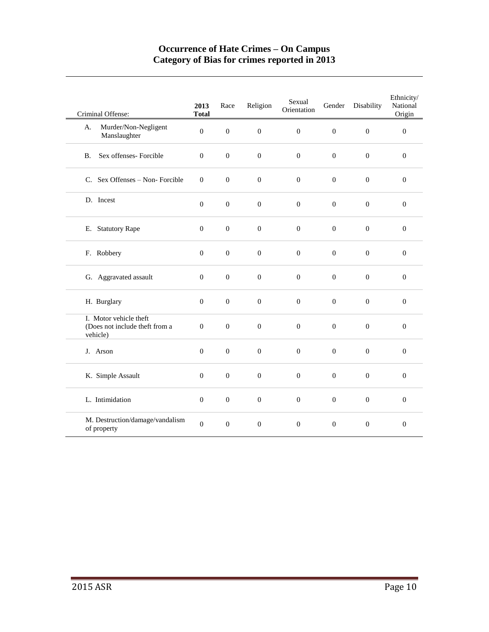#### **Occurrence of Hate Crimes – On Campus Category of Bias for crimes reported in 2013**

| Criminal Offense:                                                    | 2013<br><b>Total</b> | Race             | Religion         | Sexual<br>Orientation | Gender           | Disability       | Ethnicity/<br>National<br>Origin |
|----------------------------------------------------------------------|----------------------|------------------|------------------|-----------------------|------------------|------------------|----------------------------------|
| Murder/Non-Negligent<br>A.<br>Manslaughter                           | $\mathbf{0}$         | $\mathbf{0}$     | $\overline{0}$   | $\theta$              | $\mathbf{0}$     | $\overline{0}$   | $\mathbf{0}$                     |
| Sex offenses- Forcible<br><b>B.</b>                                  | $\overline{0}$       | $\boldsymbol{0}$ | $\mathbf{0}$     | $\boldsymbol{0}$      | $\overline{0}$   | $\mathbf{0}$     | $\mathbf{0}$                     |
| C. Sex Offenses - Non-Forcible                                       | $\mathbf{0}$         | $\mathbf{0}$     | $\overline{0}$   | $\boldsymbol{0}$      | $\boldsymbol{0}$ | $\boldsymbol{0}$ | $\boldsymbol{0}$                 |
| D. Incest                                                            | $\boldsymbol{0}$     | $\boldsymbol{0}$ | $\boldsymbol{0}$ | $\boldsymbol{0}$      | $\boldsymbol{0}$ | $\boldsymbol{0}$ | $\boldsymbol{0}$                 |
| E. Statutory Rape                                                    | $\boldsymbol{0}$     | $\boldsymbol{0}$ | $\mathbf{0}$     | $\boldsymbol{0}$      | $\boldsymbol{0}$ | $\boldsymbol{0}$ | $\boldsymbol{0}$                 |
| F. Robbery                                                           | $\boldsymbol{0}$     | $\boldsymbol{0}$ | $\boldsymbol{0}$ | $\boldsymbol{0}$      | $\boldsymbol{0}$ | $\overline{0}$   | $\boldsymbol{0}$                 |
| G. Aggravated assault                                                | $\boldsymbol{0}$     | $\boldsymbol{0}$ | $\boldsymbol{0}$ | $\boldsymbol{0}$      | $\boldsymbol{0}$ | $\boldsymbol{0}$ | $\mathbf{0}$                     |
| H. Burglary                                                          | $\mathbf{0}$         | $\mathbf{0}$     | $\overline{0}$   | $\overline{0}$        | $\overline{0}$   | $\overline{0}$   | $\boldsymbol{0}$                 |
| I. Motor vehicle theft<br>(Does not include theft from a<br>vehicle) | $\overline{0}$       | $\overline{0}$   | $\overline{0}$   | $\overline{0}$        | $\overline{0}$   | $\mathbf{0}$     | $\mathbf{0}$                     |
| J. Arson                                                             | $\boldsymbol{0}$     | $\boldsymbol{0}$ | $\boldsymbol{0}$ | $\boldsymbol{0}$      | $\boldsymbol{0}$ | $\boldsymbol{0}$ | $\boldsymbol{0}$                 |
| K. Simple Assault                                                    | $\boldsymbol{0}$     | $\boldsymbol{0}$ | $\boldsymbol{0}$ | $\boldsymbol{0}$      | $\boldsymbol{0}$ | $\boldsymbol{0}$ | $\boldsymbol{0}$                 |
| L. Intimidation                                                      | $\overline{0}$       | $\boldsymbol{0}$ | $\boldsymbol{0}$ | $\overline{0}$        | $\boldsymbol{0}$ | $\boldsymbol{0}$ | $\mathbf{0}$                     |
| M. Destruction/damage/vandalism<br>of property                       | $\boldsymbol{0}$     | $\mathbf{0}$     | $\boldsymbol{0}$ | $\boldsymbol{0}$      | $\overline{0}$   | $\boldsymbol{0}$ | $\mathbf{0}$                     |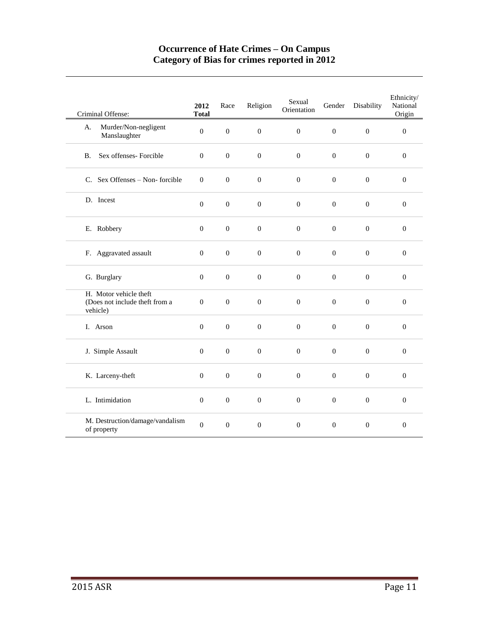#### **Occurrence of Hate Crimes – On Campus Category of Bias for crimes reported in 2012**

| Criminal Offense:                                                    | 2012<br><b>Total</b> | Race             | Religion         | Sexual<br>Orientation | Gender           | Disability       | Ethnicity/<br>National<br>Origin |
|----------------------------------------------------------------------|----------------------|------------------|------------------|-----------------------|------------------|------------------|----------------------------------|
| Murder/Non-negligent<br>А.<br>Manslaughter                           | $\Omega$             | $\overline{0}$   | $\mathbf{0}$     | $\Omega$              | $\mathbf{0}$     | $\boldsymbol{0}$ | $\mathbf{0}$                     |
| Sex offenses- Forcible<br><b>B.</b>                                  | $\overline{0}$       | $\boldsymbol{0}$ | $\boldsymbol{0}$ | $\boldsymbol{0}$      | $\boldsymbol{0}$ | $\boldsymbol{0}$ | $\mathbf{0}$                     |
| C. Sex Offenses – Non-forcible                                       | $\mathbf{0}$         | $\mathbf{0}$     | $\mathbf{0}$     | $\overline{0}$        | $\mathbf{0}$     | $\overline{0}$   | $\mathbf{0}$                     |
| D. Incest                                                            | $\boldsymbol{0}$     | $\boldsymbol{0}$ | $\boldsymbol{0}$ | $\boldsymbol{0}$      | $\boldsymbol{0}$ | $\boldsymbol{0}$ | $\boldsymbol{0}$                 |
| E. Robbery                                                           | $\boldsymbol{0}$     | $\boldsymbol{0}$ | $\boldsymbol{0}$ | $\boldsymbol{0}$      | $\boldsymbol{0}$ | $\boldsymbol{0}$ | $\boldsymbol{0}$                 |
| F. Aggravated assault                                                | $\Omega$             | $\mathbf{0}$     | $\overline{0}$   | $\mathbf{0}$          | $\mathbf{0}$     | $\Omega$         | $\mathbf{0}$                     |
| G. Burglary                                                          | $\boldsymbol{0}$     | $\boldsymbol{0}$ | $\boldsymbol{0}$ | $\boldsymbol{0}$      | $\boldsymbol{0}$ | $\boldsymbol{0}$ | $\mathbf{0}$                     |
| H. Motor vehicle theft<br>(Does not include theft from a<br>vehicle) | $\mathbf{0}$         | $\overline{0}$   | $\mathbf{0}$     | $\boldsymbol{0}$      | $\mathbf{0}$     | $\overline{0}$   | $\boldsymbol{0}$                 |
| I. Arson                                                             | $\boldsymbol{0}$     | $\boldsymbol{0}$ | $\boldsymbol{0}$ | $\boldsymbol{0}$      | $\boldsymbol{0}$ | $\mathbf{0}$     | $\boldsymbol{0}$                 |
| J. Simple Assault                                                    | $\boldsymbol{0}$     | $\boldsymbol{0}$ | $\boldsymbol{0}$ | $\boldsymbol{0}$      | $\boldsymbol{0}$ | $\boldsymbol{0}$ | $\boldsymbol{0}$                 |
| K. Larceny-theft                                                     | $\overline{0}$       | $\overline{0}$   | $\overline{0}$   | $\overline{0}$        | $\mathbf{0}$     | $\overline{0}$   | $\mathbf{0}$                     |
| L. Intimidation                                                      | $\overline{0}$       | $\boldsymbol{0}$ | $\mathbf{0}$     | $\boldsymbol{0}$      | $\boldsymbol{0}$ | $\boldsymbol{0}$ | $\mathbf{0}$                     |
| M. Destruction/damage/vandalism<br>of property                       | $\boldsymbol{0}$     | $\boldsymbol{0}$ | $\mathbf{0}$     | $\mathbf{0}$          | $\boldsymbol{0}$ | $\boldsymbol{0}$ | $\mathbf{0}$                     |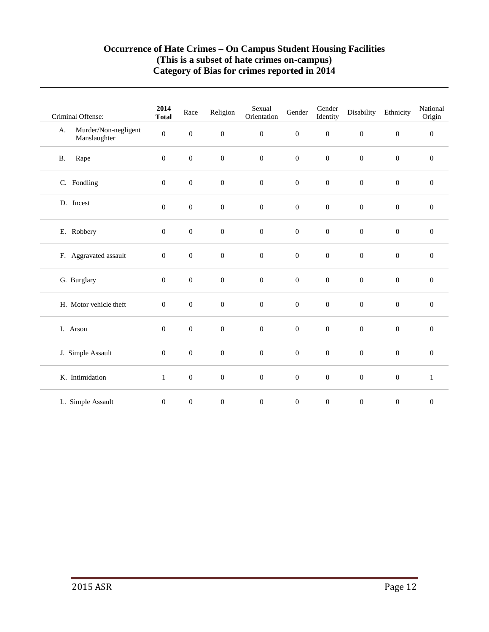#### **Occurrence of Hate Crimes – On Campus Student Housing Facilities (This is a subset of hate crimes on-campus) Category of Bias for crimes reported in 2014**

| Criminal Offense:                          | 2014<br><b>Total</b> | Race             | Religion         | Sexual<br>Orientation | Gender           | Gender<br>Identity | Disability       | Ethnicity        | National<br>Origin |
|--------------------------------------------|----------------------|------------------|------------------|-----------------------|------------------|--------------------|------------------|------------------|--------------------|
| Murder/Non-negligent<br>A.<br>Manslaughter | $\boldsymbol{0}$     | $\boldsymbol{0}$ | $\boldsymbol{0}$ | $\boldsymbol{0}$      | $\boldsymbol{0}$ | $\boldsymbol{0}$   | $\boldsymbol{0}$ | $\boldsymbol{0}$ | $\boldsymbol{0}$   |
| Rape<br>$\mathbf{B}.$                      | $\overline{0}$       | $\mathbf{0}$     | $\boldsymbol{0}$ | $\boldsymbol{0}$      | $\boldsymbol{0}$ | $\boldsymbol{0}$   | $\boldsymbol{0}$ | $\boldsymbol{0}$ | $\mathbf{0}$       |
| C. Fondling                                | $\mathbf{0}$         | $\boldsymbol{0}$ | $\boldsymbol{0}$ | $\boldsymbol{0}$      | $\boldsymbol{0}$ | $\boldsymbol{0}$   | $\boldsymbol{0}$ | $\boldsymbol{0}$ | $\mathbf{0}$       |
| D. Incest                                  | $\boldsymbol{0}$     | $\boldsymbol{0}$ | $\boldsymbol{0}$ | $\boldsymbol{0}$      | $\boldsymbol{0}$ | $\boldsymbol{0}$   | $\boldsymbol{0}$ | $\boldsymbol{0}$ | $\boldsymbol{0}$   |
| E. Robbery                                 | $\mathbf{0}$         | $\mathbf{0}$     | $\boldsymbol{0}$ | $\boldsymbol{0}$      | $\boldsymbol{0}$ | $\boldsymbol{0}$   | $\boldsymbol{0}$ | $\mathbf{0}$     | $\overline{0}$     |
| F. Aggravated assault                      | $\mathbf{0}$         | $\boldsymbol{0}$ | $\mathbf{0}$     | $\boldsymbol{0}$      | $\boldsymbol{0}$ | $\boldsymbol{0}$   | $\boldsymbol{0}$ | $\mathbf{0}$     | $\mathbf{0}$       |
| G. Burglary                                | $\mathbf{0}$         | $\mathbf{0}$     | $\boldsymbol{0}$ | $\boldsymbol{0}$      | $\boldsymbol{0}$ | $\boldsymbol{0}$   | $\boldsymbol{0}$ | $\mathbf{0}$     | $\overline{0}$     |
| H. Motor vehicle theft                     | $\mathbf{0}$         | $\boldsymbol{0}$ | $\mathbf{0}$     | $\boldsymbol{0}$      | $\boldsymbol{0}$ | $\boldsymbol{0}$   | $\boldsymbol{0}$ | $\mathbf{0}$     | $\boldsymbol{0}$   |
| I. Arson                                   | $\mathbf{0}$         | $\boldsymbol{0}$ | $\boldsymbol{0}$ | $\boldsymbol{0}$      | $\boldsymbol{0}$ | $\boldsymbol{0}$   | $\boldsymbol{0}$ | $\mathbf{0}$     | $\mathbf{0}$       |
| J. Simple Assault                          | $\mathbf{0}$         | $\boldsymbol{0}$ | $\boldsymbol{0}$ | $\boldsymbol{0}$      | $\boldsymbol{0}$ | $\boldsymbol{0}$   | $\boldsymbol{0}$ | $\boldsymbol{0}$ | $\boldsymbol{0}$   |
| K. Intimidation                            | $\mathbf{1}$         | $\boldsymbol{0}$ | $\boldsymbol{0}$ | $\boldsymbol{0}$      | $\boldsymbol{0}$ | $\boldsymbol{0}$   | $\boldsymbol{0}$ | $\boldsymbol{0}$ | $\mathbf{1}$       |
| L. Simple Assault                          | $\mathbf{0}$         | $\boldsymbol{0}$ | $\boldsymbol{0}$ | $\boldsymbol{0}$      | $\boldsymbol{0}$ | $\boldsymbol{0}$   | $\boldsymbol{0}$ | $\boldsymbol{0}$ | $\boldsymbol{0}$   |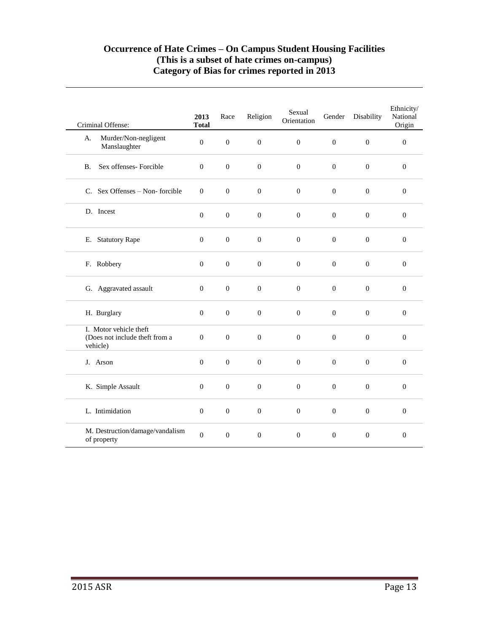#### **Occurrence of Hate Crimes – On Campus Student Housing Facilities (This is a subset of hate crimes on-campus) Category of Bias for crimes reported in 2013**

| Criminal Offense:                                                    | 2013<br><b>Total</b> | Race             | Religion         | Sexual<br>Orientation | Gender           | Disability       | Ethnicity/<br>National<br>Origin |
|----------------------------------------------------------------------|----------------------|------------------|------------------|-----------------------|------------------|------------------|----------------------------------|
| Murder/Non-negligent<br>A.<br>Manslaughter                           | $\boldsymbol{0}$     | $\mathbf{0}$     | $\boldsymbol{0}$ | $\boldsymbol{0}$      | $\mathbf{0}$     | $\boldsymbol{0}$ | $\boldsymbol{0}$                 |
| Sex offenses- Forcible<br>B <sub>1</sub>                             | $\mathbf{0}$         | $\boldsymbol{0}$ | $\boldsymbol{0}$ | $\boldsymbol{0}$      | $\mathbf{0}$     | $\boldsymbol{0}$ | $\mathbf{0}$                     |
| C. Sex Offenses - Non-forcible                                       | $\mathbf{0}$         | $\boldsymbol{0}$ | $\boldsymbol{0}$ | $\boldsymbol{0}$      | $\mathbf{0}$     | $\boldsymbol{0}$ | $\boldsymbol{0}$                 |
| D. Incest                                                            | $\mathbf{0}$         | $\boldsymbol{0}$ | $\boldsymbol{0}$ | $\boldsymbol{0}$      | $\mathbf{0}$     | $\overline{0}$   | $\mathbf{0}$                     |
| E. Statutory Rape                                                    | $\boldsymbol{0}$     | $\boldsymbol{0}$ | $\boldsymbol{0}$ | $\boldsymbol{0}$      | $\boldsymbol{0}$ | $\boldsymbol{0}$ | $\boldsymbol{0}$                 |
| F. Robbery                                                           | $\boldsymbol{0}$     | $\boldsymbol{0}$ | $\boldsymbol{0}$ | $\boldsymbol{0}$      | $\boldsymbol{0}$ | $\mathbf{0}$     | $\mathbf{0}$                     |
| G. Aggravated assault                                                | $\mathbf{0}$         | $\overline{0}$   | $\overline{0}$   | $\boldsymbol{0}$      | $\overline{0}$   | $\mathbf{0}$     | $\mathbf{0}$                     |
| H. Burglary                                                          | $\mathbf{0}$         | $\mathbf{0}$     | $\boldsymbol{0}$ | $\boldsymbol{0}$      | $\mathbf{0}$     | $\mathbf{0}$     | $\mathbf{0}$                     |
| I. Motor vehicle theft<br>(Does not include theft from a<br>vehicle) | $\Omega$             | $\Omega$         | $\overline{0}$   | $\Omega$              | $\overline{0}$   | $\Omega$         | $\Omega$                         |
| J. Arson                                                             | $\mathbf{0}$         | $\boldsymbol{0}$ | $\boldsymbol{0}$ | $\boldsymbol{0}$      | $\boldsymbol{0}$ | $\boldsymbol{0}$ | $\mathbf{0}$                     |
| K. Simple Assault                                                    | $\mathbf{0}$         | $\boldsymbol{0}$ | $\boldsymbol{0}$ | $\boldsymbol{0}$      | $\boldsymbol{0}$ | $\boldsymbol{0}$ | $\mathbf{0}$                     |
| L. Intimidation                                                      | $\boldsymbol{0}$     | $\boldsymbol{0}$ | $\boldsymbol{0}$ | $\boldsymbol{0}$      | $\mathbf{0}$     | $\boldsymbol{0}$ | $\boldsymbol{0}$                 |
| M. Destruction/damage/vandalism<br>of property                       | $\overline{0}$       | $\boldsymbol{0}$ | $\boldsymbol{0}$ | $\boldsymbol{0}$      | $\boldsymbol{0}$ | $\boldsymbol{0}$ | $\mathbf{0}$                     |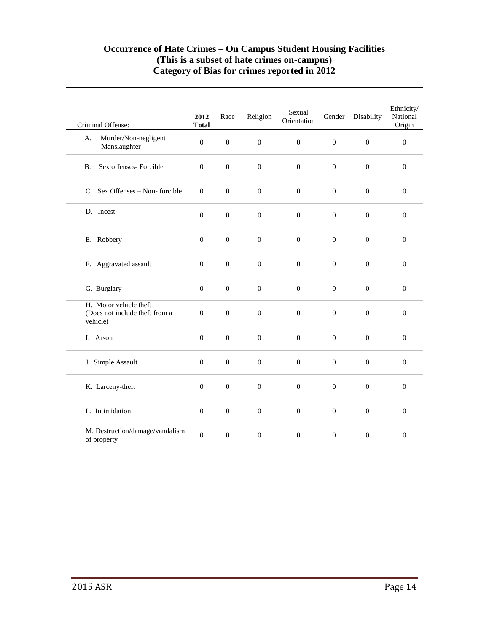#### **Occurrence of Hate Crimes – On Campus Student Housing Facilities (This is a subset of hate crimes on-campus) Category of Bias for crimes reported in 2012**

| Criminal Offense:                                                    | 2012<br><b>Total</b> | Race             | Religion         | Sexual<br>Orientation | Gender           | Disability       | Ethnicity/<br>National<br>Origin |
|----------------------------------------------------------------------|----------------------|------------------|------------------|-----------------------|------------------|------------------|----------------------------------|
| Murder/Non-negligent<br>A.<br>Manslaughter                           | $\overline{0}$       | $\boldsymbol{0}$ | $\mathbf{0}$     | $\theta$              | $\mathbf{0}$     | $\mathbf{0}$     | $\boldsymbol{0}$                 |
| Sex offenses- Forcible<br>B <sub>1</sub>                             | $\overline{0}$       | $\mathbf{0}$     | $\mathbf{0}$     | $\mathbf{0}$          | $\mathbf{0}$     | $\mathbf{0}$     | $\overline{0}$                   |
| C. Sex Offenses - Non-forcible                                       | $\boldsymbol{0}$     | $\boldsymbol{0}$ | $\boldsymbol{0}$ | $\boldsymbol{0}$      | $\boldsymbol{0}$ | $\boldsymbol{0}$ | $\boldsymbol{0}$                 |
| D. Incest                                                            | $\boldsymbol{0}$     | $\boldsymbol{0}$ | $\boldsymbol{0}$ | $\boldsymbol{0}$      | $\boldsymbol{0}$ | $\mathbf{0}$     | $\boldsymbol{0}$                 |
| E. Robbery                                                           | $\mathbf{0}$         | $\mathbf{0}$     | $\boldsymbol{0}$ | $\theta$              | $\boldsymbol{0}$ | $\boldsymbol{0}$ | $\overline{0}$                   |
| F. Aggravated assault                                                | $\overline{0}$       | $\mathbf{0}$     | $\overline{0}$   | $\overline{0}$        | $\overline{0}$   | $\overline{0}$   | $\mathbf{0}$                     |
| G. Burglary                                                          | $\mathbf{0}$         | $\boldsymbol{0}$ | $\boldsymbol{0}$ | $\boldsymbol{0}$      | $\boldsymbol{0}$ | $\boldsymbol{0}$ | $\overline{0}$                   |
| H. Motor vehicle theft<br>(Does not include theft from a<br>vehicle) | $\boldsymbol{0}$     | $\boldsymbol{0}$ | $\boldsymbol{0}$ | $\boldsymbol{0}$      | $\boldsymbol{0}$ | $\boldsymbol{0}$ | $\boldsymbol{0}$                 |
| I. Arson                                                             | $\mathbf{0}$         | $\mathbf{0}$     | $\theta$         | $\theta$              | $\mathbf{0}$     | $\overline{0}$   | $\mathbf{0}$                     |
| J. Simple Assault                                                    | $\mathbf{0}$         | $\boldsymbol{0}$ | $\overline{0}$   | $\theta$              | $\overline{0}$   | $\boldsymbol{0}$ | $\overline{0}$                   |
| K. Larceny-theft                                                     | $\boldsymbol{0}$     | $\boldsymbol{0}$ | $\boldsymbol{0}$ | $\boldsymbol{0}$      | $\boldsymbol{0}$ | $\boldsymbol{0}$ | $\boldsymbol{0}$                 |
| L. Intimidation                                                      | $\overline{0}$       | $\boldsymbol{0}$ | $\boldsymbol{0}$ | $\boldsymbol{0}$      | $\boldsymbol{0}$ | $\mathbf{0}$     | $\mathbf{0}$                     |
| M. Destruction/damage/vandalism<br>of property                       | $\overline{0}$       | $\boldsymbol{0}$ | $\mathbf{0}$     | $\boldsymbol{0}$      | $\boldsymbol{0}$ | $\boldsymbol{0}$ | $\mathbf{0}$                     |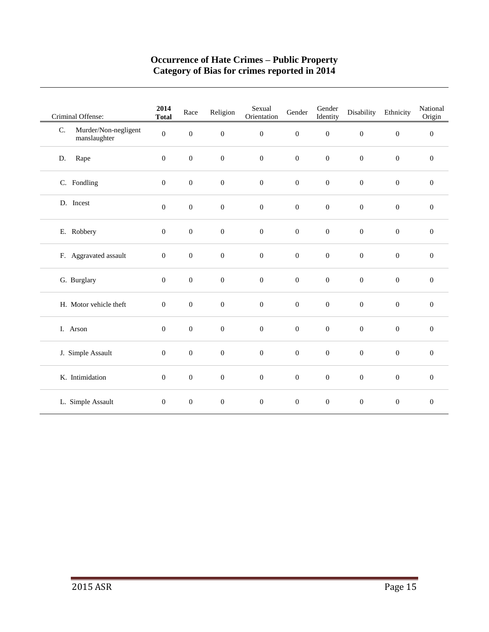#### **Occurrence of Hate Crimes – Public Property Category of Bias for crimes reported in 2014**

| Criminal Offense:                          | 2014<br><b>Total</b> | Race             | Religion         | Sexual<br>Orientation | Gender           | Gender<br>Identity | Disability       | Ethnicity        | National<br>Origin |
|--------------------------------------------|----------------------|------------------|------------------|-----------------------|------------------|--------------------|------------------|------------------|--------------------|
| Murder/Non-negligent<br>C.<br>manslaughter | $\mathbf{0}$         | $\boldsymbol{0}$ | $\boldsymbol{0}$ | $\boldsymbol{0}$      | $\boldsymbol{0}$ | $\boldsymbol{0}$   | $\boldsymbol{0}$ | $\boldsymbol{0}$ | $\boldsymbol{0}$   |
| Rape<br>D.                                 | $\mathbf{0}$         | $\boldsymbol{0}$ | $\boldsymbol{0}$ | $\boldsymbol{0}$      | $\boldsymbol{0}$ | $\boldsymbol{0}$   | $\boldsymbol{0}$ | $\boldsymbol{0}$ | $\boldsymbol{0}$   |
| C. Fondling                                | $\mathbf{0}$         | $\boldsymbol{0}$ | $\boldsymbol{0}$ | $\boldsymbol{0}$      | $\boldsymbol{0}$ | $\boldsymbol{0}$   | $\boldsymbol{0}$ | $\boldsymbol{0}$ | $\mathbf{0}$       |
| D. Incest                                  | $\mathbf{0}$         | $\boldsymbol{0}$ | $\boldsymbol{0}$ | $\boldsymbol{0}$      | $\boldsymbol{0}$ | $\boldsymbol{0}$   | $\boldsymbol{0}$ | $\boldsymbol{0}$ | $\boldsymbol{0}$   |
| E. Robbery                                 | $\mathbf{0}$         | $\boldsymbol{0}$ | $\boldsymbol{0}$ | $\boldsymbol{0}$      | $\boldsymbol{0}$ | $\boldsymbol{0}$   | $\boldsymbol{0}$ | $\boldsymbol{0}$ | $\boldsymbol{0}$   |
| F. Aggravated assault                      | $\boldsymbol{0}$     | $\boldsymbol{0}$ | $\mathbf{0}$     | $\boldsymbol{0}$      | $\boldsymbol{0}$ | $\boldsymbol{0}$   | $\boldsymbol{0}$ | $\mathbf{0}$     | $\mathbf{0}$       |
| G. Burglary                                | $\mathbf{0}$         | $\mathbf{0}$     | $\boldsymbol{0}$ | $\boldsymbol{0}$      | $\boldsymbol{0}$ | $\boldsymbol{0}$   | $\boldsymbol{0}$ | $\mathbf{0}$     | $\overline{0}$     |
| H. Motor vehicle theft                     | $\boldsymbol{0}$     | $\boldsymbol{0}$ | $\mathbf 0$      | $\boldsymbol{0}$      | $\boldsymbol{0}$ | $\boldsymbol{0}$   | $\boldsymbol{0}$ | $\mathbf{0}$     | $\mathbf{0}$       |
| I. Arson                                   | $\boldsymbol{0}$     | $\boldsymbol{0}$ | $\boldsymbol{0}$ | $\boldsymbol{0}$      | $\boldsymbol{0}$ | $\boldsymbol{0}$   | $\boldsymbol{0}$ | $\boldsymbol{0}$ | $\boldsymbol{0}$   |
| J. Simple Assault                          | $\boldsymbol{0}$     | $\boldsymbol{0}$ | $\boldsymbol{0}$ | $\boldsymbol{0}$      | $\boldsymbol{0}$ | $\boldsymbol{0}$   | $\boldsymbol{0}$ | $\boldsymbol{0}$ | $\mathbf{0}$       |
| K. Intimidation                            | $\mathbf{0}$         | $\boldsymbol{0}$ | $\boldsymbol{0}$ | $\boldsymbol{0}$      | $\boldsymbol{0}$ | $\boldsymbol{0}$   | $\boldsymbol{0}$ | $\boldsymbol{0}$ | $\mathbf{0}$       |
| L. Simple Assault                          | $\mathbf{0}$         | $\boldsymbol{0}$ | $\boldsymbol{0}$ | $\boldsymbol{0}$      | $\mathbf{0}$     | $\boldsymbol{0}$   | $\boldsymbol{0}$ | $\boldsymbol{0}$ | $\boldsymbol{0}$   |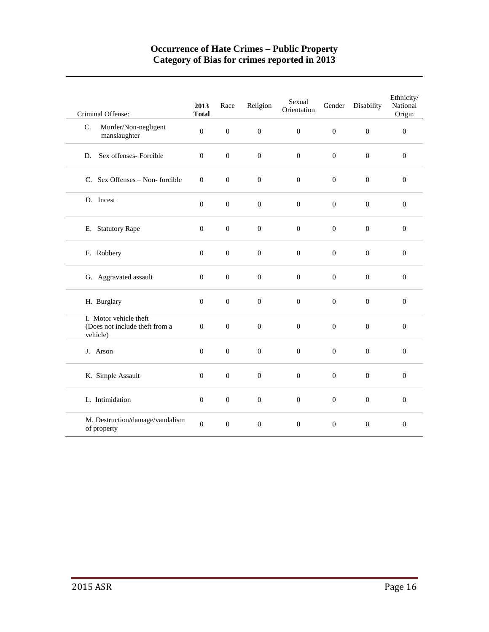#### **Occurrence of Hate Crimes – Public Property Category of Bias for crimes reported in 2013**

| Criminal Offense:                                                    | 2013<br><b>Total</b> | Race             | Religion         | Sexual<br>Orientation | Gender           | Disability       | Ethnicity/<br>National<br>Origin |
|----------------------------------------------------------------------|----------------------|------------------|------------------|-----------------------|------------------|------------------|----------------------------------|
| Murder/Non-negligent<br>C.<br>manslaughter                           | $\boldsymbol{0}$     | $\boldsymbol{0}$ | $\mathbf{0}$     | $\boldsymbol{0}$      | $\mathbf{0}$     | $\boldsymbol{0}$ | $\boldsymbol{0}$                 |
| Sex offenses- Forcible<br>D.                                         | $\overline{0}$       | $\mathbf{0}$     | $\mathbf{0}$     | $\overline{0}$        | $\overline{0}$   | $\boldsymbol{0}$ | $\mathbf{0}$                     |
| C. Sex Offenses – Non-forcible                                       | $\Omega$             | $\mathbf{0}$     | $\overline{0}$   | $\mathbf{0}$          | $\mathbf{0}$     | $\overline{0}$   | $\overline{0}$                   |
| D. Incest                                                            | $\boldsymbol{0}$     | $\boldsymbol{0}$ | $\boldsymbol{0}$ | $\boldsymbol{0}$      | $\boldsymbol{0}$ | $\boldsymbol{0}$ | $\boldsymbol{0}$                 |
| E. Statutory Rape                                                    | $\boldsymbol{0}$     | $\boldsymbol{0}$ | $\boldsymbol{0}$ | $\boldsymbol{0}$      | $\boldsymbol{0}$ | $\boldsymbol{0}$ | $\boldsymbol{0}$                 |
| F. Robbery                                                           | $\overline{0}$       | $\mathbf{0}$     | $\mathbf{0}$     | $\mathbf{0}$          | $\overline{0}$   | $\overline{0}$   | $\overline{0}$                   |
| G. Aggravated assault                                                | $\overline{0}$       | $\boldsymbol{0}$ | $\mathbf{0}$     | $\mathbf{0}$          | $\boldsymbol{0}$ | $\boldsymbol{0}$ | $\overline{0}$                   |
| H. Burglary                                                          | $\overline{0}$       | $\mathbf{0}$     | $\overline{0}$   | $\overline{0}$        | $\mathbf{0}$     | $\overline{0}$   | $\mathbf{0}$                     |
| I. Motor vehicle theft<br>(Does not include theft from a<br>vehicle) | $\boldsymbol{0}$     | $\boldsymbol{0}$ | $\boldsymbol{0}$ | $\boldsymbol{0}$      | $\boldsymbol{0}$ | $\boldsymbol{0}$ | $\boldsymbol{0}$                 |
| J. Arson                                                             | $\boldsymbol{0}$     | $\boldsymbol{0}$ | $\boldsymbol{0}$ | $\boldsymbol{0}$      | $\boldsymbol{0}$ | $\boldsymbol{0}$ | $\boldsymbol{0}$                 |
| K. Simple Assault                                                    | $\boldsymbol{0}$     | $\boldsymbol{0}$ | $\boldsymbol{0}$ | $\boldsymbol{0}$      | $\boldsymbol{0}$ | $\boldsymbol{0}$ | $\boldsymbol{0}$                 |
| L. Intimidation                                                      | $\mathbf{0}$         | $\mathbf{0}$     | $\mathbf{0}$     | $\boldsymbol{0}$      | $\boldsymbol{0}$ | $\overline{0}$   | $\mathbf{0}$                     |
| M. Destruction/damage/vandalism<br>of property                       | $\boldsymbol{0}$     | $\boldsymbol{0}$ | $\mathbf{0}$     | $\boldsymbol{0}$      | $\boldsymbol{0}$ | $\boldsymbol{0}$ | $\mathbf{0}$                     |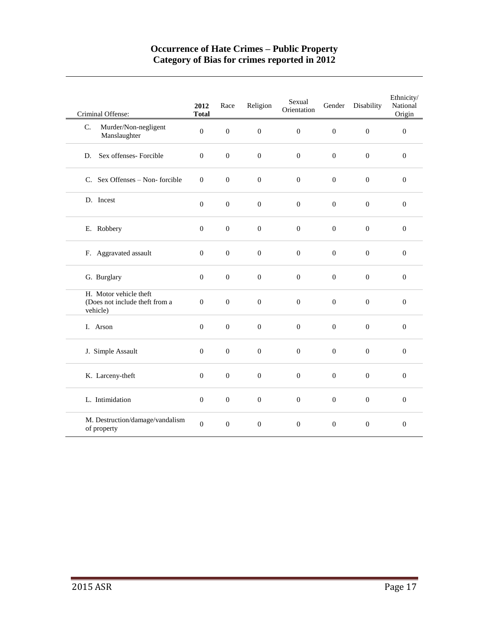#### **Occurrence of Hate Crimes – Public Property Category of Bias for crimes reported in 2012**

| Criminal Offense:                                                    | 2012<br><b>Total</b> | Race             | Religion         | Sexual<br>Orientation | Gender           | Disability       | Ethnicity/<br>National<br>Origin |
|----------------------------------------------------------------------|----------------------|------------------|------------------|-----------------------|------------------|------------------|----------------------------------|
| Murder/Non-negligent<br>C.<br>Manslaughter                           | $\Omega$             | $\overline{0}$   | $\mathbf{0}$     | $\Omega$              | $\mathbf{0}$     | $\boldsymbol{0}$ | $\mathbf{0}$                     |
| Sex offenses- Forcible<br>D.                                         | $\overline{0}$       | $\boldsymbol{0}$ | $\boldsymbol{0}$ | $\boldsymbol{0}$      | $\boldsymbol{0}$ | $\boldsymbol{0}$ | $\mathbf{0}$                     |
| C. Sex Offenses – Non-forcible                                       | $\mathbf{0}$         | $\mathbf{0}$     | $\overline{0}$   | $\mathbf{0}$          | $\mathbf{0}$     | $\overline{0}$   | $\mathbf{0}$                     |
| D. Incest                                                            | $\boldsymbol{0}$     | $\boldsymbol{0}$ | $\boldsymbol{0}$ | $\boldsymbol{0}$      | $\boldsymbol{0}$ | $\boldsymbol{0}$ | $\boldsymbol{0}$                 |
| E. Robbery                                                           | $\boldsymbol{0}$     | $\boldsymbol{0}$ | $\boldsymbol{0}$ | $\boldsymbol{0}$      | $\boldsymbol{0}$ | $\boldsymbol{0}$ | $\boldsymbol{0}$                 |
| F. Aggravated assault                                                | $\Omega$             | $\mathbf{0}$     | $\overline{0}$   | $\Omega$              | $\mathbf{0}$     | $\Omega$         | $\Omega$                         |
| G. Burglary                                                          | $\boldsymbol{0}$     | $\boldsymbol{0}$ | $\boldsymbol{0}$ | $\boldsymbol{0}$      | $\boldsymbol{0}$ | $\boldsymbol{0}$ | $\boldsymbol{0}$                 |
| H. Motor vehicle theft<br>(Does not include theft from a<br>vehicle) | $\overline{0}$       | $\overline{0}$   | $\mathbf{0}$     | $\overline{0}$        | $\mathbf{0}$     | $\overline{0}$   | $\boldsymbol{0}$                 |
| I. Arson                                                             | $\overline{0}$       | $\boldsymbol{0}$ | $\boldsymbol{0}$ | $\boldsymbol{0}$      | $\boldsymbol{0}$ | $\mathbf{0}$     | $\mathbf{0}$                     |
| J. Simple Assault                                                    | $\boldsymbol{0}$     | $\boldsymbol{0}$ | $\boldsymbol{0}$ | $\boldsymbol{0}$      | $\boldsymbol{0}$ | $\boldsymbol{0}$ | $\boldsymbol{0}$                 |
| K. Larceny-theft                                                     | $\overline{0}$       | $\overline{0}$   | $\overline{0}$   | $\overline{0}$        | $\mathbf{0}$     | $\overline{0}$   | $\overline{0}$                   |
| L. Intimidation                                                      | $\overline{0}$       | $\boldsymbol{0}$ | $\overline{0}$   | $\mathbf{0}$          | $\boldsymbol{0}$ | $\boldsymbol{0}$ | $\mathbf{0}$                     |
| M. Destruction/damage/vandalism<br>of property                       | $\boldsymbol{0}$     | $\overline{0}$   | $\mathbf{0}$     | $\boldsymbol{0}$      | $\mathbf{0}$     | $\overline{0}$   | $\overline{0}$                   |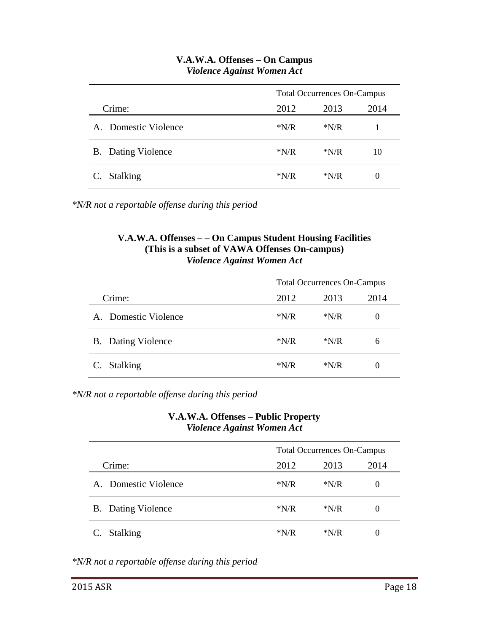|                      |        | <b>Total Occurrences On-Campus</b> |      |  |  |  |  |
|----------------------|--------|------------------------------------|------|--|--|--|--|
| Crime:               | 2012   | 2013                               | 2014 |  |  |  |  |
| A. Domestic Violence | $*N/R$ | $*N/R$                             |      |  |  |  |  |
| B. Dating Violence   | $*N/R$ | $*N/R$                             | 10   |  |  |  |  |
| C. Stalking          | $*N/R$ | $*N/R$                             | 0    |  |  |  |  |

### **V.A.W.A. Offenses – On Campus** *Violence Against Women Act*

*\*N/R not a reportable offense during this period*

#### **V.A.W.A. Offenses – – On Campus Student Housing Facilities (This is a subset of VAWA Offenses On-campus)** *Violence Against Women Act*

|                |                           | <b>Total Occurrences On-Campus</b> |        |          |
|----------------|---------------------------|------------------------------------|--------|----------|
|                | Crime:<br>2012<br>2013    |                                    | 2014   |          |
|                | A. Domestic Violence      | $*N/R$                             | $*N/R$ | $\theta$ |
|                | <b>B.</b> Dating Violence | $*N/R$                             | $*N/R$ | 6        |
| $\mathbf{C}$ . | <b>Stalking</b>           | $*N/R$                             | $*N/R$ | $\theta$ |

*\*N/R not a reportable offense during this period*

#### **V.A.W.A. Offenses – Public Property** *Violence Against Women Act*

|                           |        | <b>Total Occurrences On-Campus</b> |          |  |
|---------------------------|--------|------------------------------------|----------|--|
| Crime:                    | 2012   | 2013<br>2014                       |          |  |
| A. Domestic Violence      | $*N/R$ | $*N/R$                             | 0        |  |
| <b>B.</b> Dating Violence | $*N/R$ | $*N/R$                             | 0        |  |
| <b>Stalking</b>           | $*N/R$ | $*N/R$                             | $\theta$ |  |

*\*N/R not a reportable offense during this period*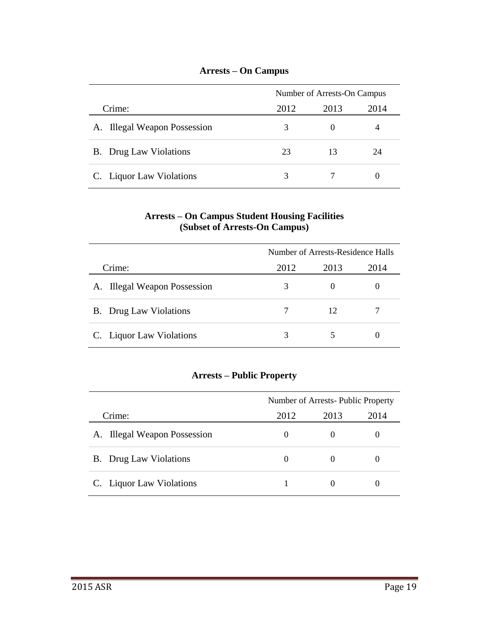|                               | Number of Arrests-On Campus |      |    |
|-------------------------------|-----------------------------|------|----|
| 2013<br>2012<br>Crime:        |                             | 2014 |    |
| A. Illegal Weapon Possession  | 3                           |      |    |
| <b>B.</b> Drug Law Violations | 23                          | 13   | 24 |
| C. Liquor Law Violations      | 3                           |      |    |

#### **Arrests – On Campus**

#### **Arrests – On Campus Student Housing Facilities (Subset of Arrests-On Campus)**

|                               | Number of Arrests-Residence Halls |      |      |
|-------------------------------|-----------------------------------|------|------|
| Crime:                        | 2012                              | 2013 | 2014 |
| A. Illegal Weapon Possession  | 3                                 |      |      |
| <b>B.</b> Drug Law Violations |                                   | 12   |      |
| C. Liquor Law Violations      | 3                                 |      |      |

## **Arrests – Public Property**

|        |                               | Number of Arrests-Public Property |      |      |
|--------|-------------------------------|-----------------------------------|------|------|
| Crime: |                               | 2012                              | 2013 | 2014 |
|        | A. Illegal Weapon Possession  | $\theta$                          |      |      |
|        | <b>B.</b> Drug Law Violations | $\theta$                          |      |      |
|        | C. Liquor Law Violations      |                                   |      |      |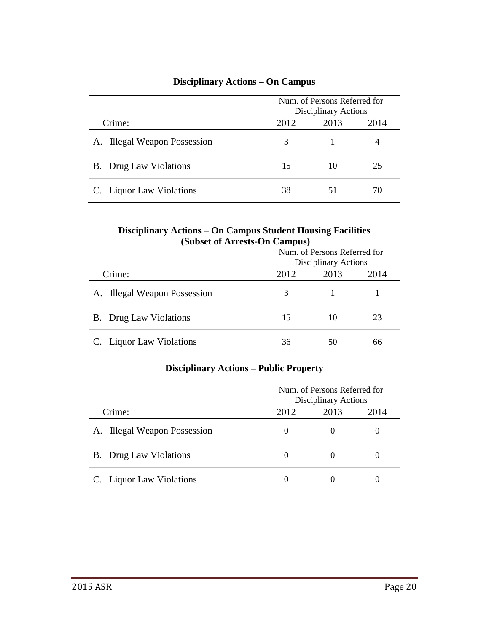## **Disciplinary Actions – On Campus**

|                               |      | Num. of Persons Referred for<br>Disciplinary Actions |    |  |
|-------------------------------|------|------------------------------------------------------|----|--|
| Crime:                        | 2013 | 2014                                                 |    |  |
| A. Illegal Weapon Possession  | 3    |                                                      |    |  |
| <b>B.</b> Drug Law Violations | 15   | 10                                                   | 25 |  |
| C. Liquor Law Violations      | 38   | 51                                                   | 70 |  |

#### **Disciplinary Actions – On Campus Student Housing Facilities (Subset of Arrests-On Campus)**

|                               | Num. of Persons Referred for<br>Disciplinary Actions |      |      |
|-------------------------------|------------------------------------------------------|------|------|
| Crime:                        | 2012                                                 | 2013 | 2014 |
| A. Illegal Weapon Possession  | 3                                                    |      |      |
| <b>B.</b> Drug Law Violations | 15                                                   | 10   | 23   |
| C. Liquor Law Violations      | 36                                                   | 50   | 66   |

#### **Disciplinary Actions – Public Property**

|        |                                  | Num. of Persons Referred for<br>Disciplinary Actions |      |      |
|--------|----------------------------------|------------------------------------------------------|------|------|
| Crime: |                                  | 2012                                                 | 2013 | 2014 |
| A.     | <b>Illegal Weapon Possession</b> | $\theta$                                             |      |      |
|        | <b>B.</b> Drug Law Violations    |                                                      |      |      |
|        | C. Liquor Law Violations         |                                                      |      |      |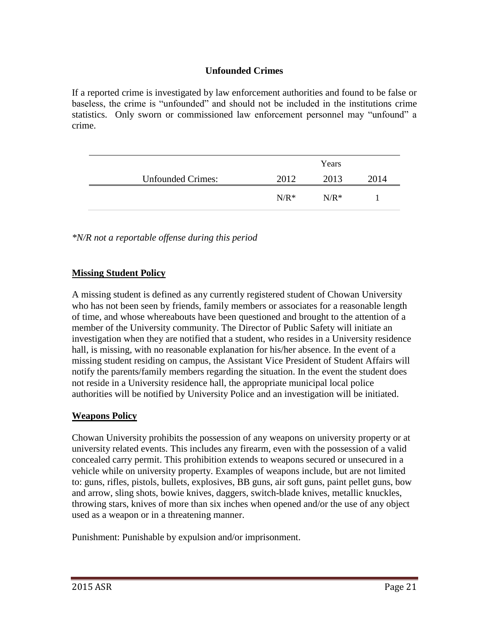### **Unfounded Crimes**

If a reported crime is investigated by law enforcement authorities and found to be false or baseless, the crime is "unfounded" and should not be included in the institutions crime statistics. Only sworn or commissioned law enforcement personnel may "unfound" a crime.

|                          |         | Years   |      |
|--------------------------|---------|---------|------|
| <b>Unfounded Crimes:</b> | 2012    | 2013    | 2014 |
|                          | $N/R^*$ | $N/R^*$ |      |

*\*N/R not a reportable offense during this period*

### **Missing Student Policy**

A missing student is defined as any currently registered student of Chowan University who has not been seen by friends, family members or associates for a reasonable length of time, and whose whereabouts have been questioned and brought to the attention of a member of the University community. The Director of Public Safety will initiate an investigation when they are notified that a student, who resides in a University residence hall, is missing, with no reasonable explanation for his/her absence. In the event of a missing student residing on campus, the Assistant Vice President of Student Affairs will notify the parents/family members regarding the situation. In the event the student does not reside in a University residence hall, the appropriate municipal local police authorities will be notified by University Police and an investigation will be initiated.

### **Weapons Policy**

Chowan University prohibits the possession of any weapons on university property or at university related events. This includes any firearm, even with the possession of a valid concealed carry permit. This prohibition extends to weapons secured or unsecured in a vehicle while on university property. Examples of weapons include, but are not limited to: guns, rifles, pistols, bullets, explosives, BB guns, air soft guns, paint pellet guns, bow and arrow, sling shots, bowie knives, daggers, switch-blade knives, metallic knuckles, throwing stars, knives of more than six inches when opened and/or the use of any object used as a weapon or in a threatening manner.

Punishment: Punishable by expulsion and/or imprisonment.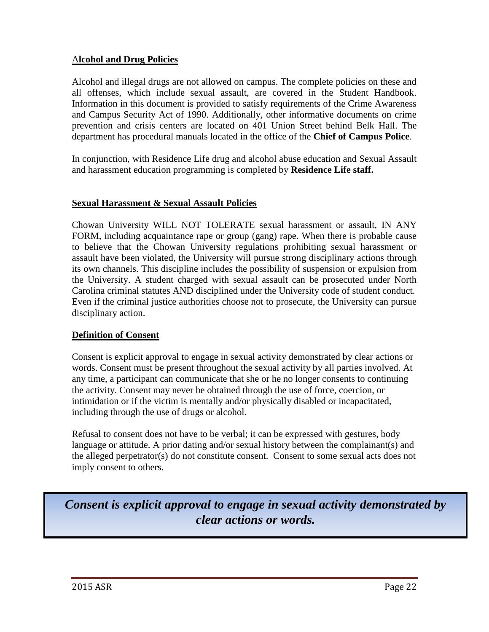#### A**lcohol and Drug Policies**

Alcohol and illegal drugs are not allowed on campus. The complete policies on these and all offenses, which include sexual assault, are covered in the Student Handbook. Information in this document is provided to satisfy requirements of the Crime Awareness and Campus Security Act of 1990. Additionally, other informative documents on crime prevention and crisis centers are located on 401 Union Street behind Belk Hall. The department has procedural manuals located in the office of the **Chief of Campus Police**.

In conjunction, with Residence Life drug and alcohol abuse education and Sexual Assault and harassment education programming is completed by **Residence Life staff.**

#### **Sexual Harassment & Sexual Assault Policies**

Chowan University WILL NOT TOLERATE sexual harassment or assault, IN ANY FORM, including acquaintance rape or group (gang) rape. When there is probable cause to believe that the Chowan University regulations prohibiting sexual harassment or assault have been violated, the University will pursue strong disciplinary actions through its own channels. This discipline includes the possibility of suspension or expulsion from the University. A student charged with sexual assault can be prosecuted under North Carolina criminal statutes AND disciplined under the University code of student conduct. Even if the criminal justice authorities choose not to prosecute, the University can pursue disciplinary action.

#### **Definition of Consent**

Consent is explicit approval to engage in sexual activity demonstrated by clear actions or words. Consent must be present throughout the sexual activity by all parties involved. At any time, a participant can communicate that she or he no longer consents to continuing the activity. Consent may never be obtained through the use of force, coercion, or intimidation or if the victim is mentally and/or physically disabled or incapacitated, including through the use of drugs or alcohol.

Refusal to consent does not have to be verbal; it can be expressed with gestures, body language or attitude. A prior dating and/or sexual history between the complainant(s) and the alleged perpetrator(s) do not constitute consent. Consent to some sexual acts does not imply consent to others.

*Consent is explicit approval to engage in sexual activity demonstrated by clear actions or words.*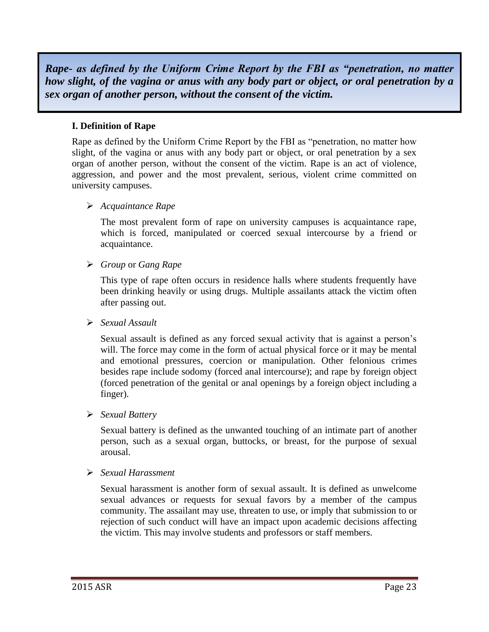*Rape- as defined by the Uniform Crime Report by the FBI as "penetration, no matter how slight, of the vagina or anus with any body part or object, or oral penetration by a sex organ of another person, without the consent of the victim.*

#### **I. Definition of Rape**

Rape as defined by the Uniform Crime Report by the FBI as "penetration, no matter how slight, of the vagina or anus with any body part or object, or oral penetration by a sex organ of another person, without the consent of the victim. Rape is an act of violence, aggression, and power and the most prevalent, serious, violent crime committed on university campuses.

#### *Acquaintance Rape*

The most prevalent form of rape on university campuses is acquaintance rape, which is forced, manipulated or coerced sexual intercourse by a friend or acquaintance.

#### *Group* or *Gang Rape*

This type of rape often occurs in residence halls where students frequently have been drinking heavily or using drugs. Multiple assailants attack the victim often after passing out.

#### *Sexual Assault*

Sexual assault is defined as any forced sexual activity that is against a person's will. The force may come in the form of actual physical force or it may be mental and emotional pressures, coercion or manipulation. Other felonious crimes besides rape include sodomy (forced anal intercourse); and rape by foreign object (forced penetration of the genital or anal openings by a foreign object including a finger).

#### *Sexual Battery*

Sexual battery is defined as the unwanted touching of an intimate part of another person, such as a sexual organ, buttocks, or breast, for the purpose of sexual arousal.

#### *Sexual Harassment*

Sexual harassment is another form of sexual assault. It is defined as unwelcome sexual advances or requests for sexual favors by a member of the campus community. The assailant may use, threaten to use, or imply that submission to or rejection of such conduct will have an impact upon academic decisions affecting the victim. This may involve students and professors or staff members.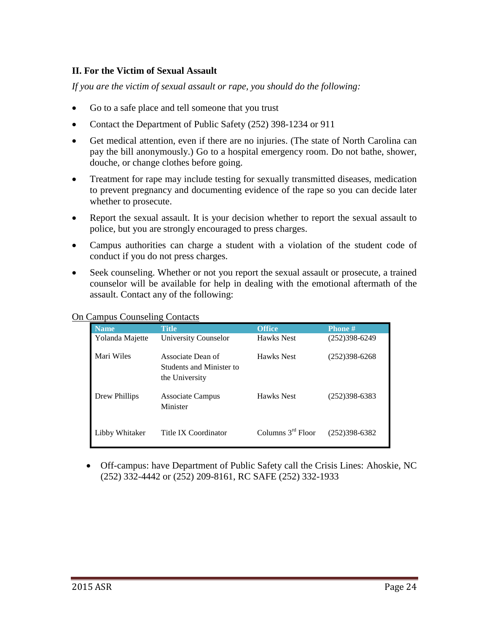#### **II. For the Victim of Sexual Assault**

*If you are the victim of sexual assault or rape, you should do the following:*

- Go to a safe place and tell someone that you trust
- Contact the Department of Public Safety (252) 398-1234 or 911
- Get medical attention, even if there are no injuries. (The state of North Carolina can pay the bill anonymously.) Go to a hospital emergency room. Do not bathe, shower, douche, or change clothes before going.
- Treatment for rape may include testing for sexually transmitted diseases, medication to prevent pregnancy and documenting evidence of the rape so you can decide later whether to prosecute.
- Report the sexual assault. It is your decision whether to report the sexual assault to police, but you are strongly encouraged to press charges.
- Campus authorities can charge a student with a violation of the student code of conduct if you do not press charges.
- Seek counseling. Whether or not you report the sexual assault or prosecute, a trained counselor will be available for help in dealing with the emotional aftermath of the assault. Contact any of the following:

On Campus Counseling Contacts

| <b>Name</b>     | <b>Title</b>                                                    | <b>Office</b>       | Phone#            |
|-----------------|-----------------------------------------------------------------|---------------------|-------------------|
| Yolanda Majette | University Counselor                                            | <b>Hawks</b> Nest   | $(252)398 - 6249$ |
| Mari Wiles      | Associate Dean of<br>Students and Minister to<br>the University | <b>Hawks</b> Nest   | $(252)398-6268$   |
| Drew Phillips   | <b>Associate Campus</b><br>Minister                             | <b>Hawks</b> Nest   | $(252)398-6383$   |
| Libby Whitaker  | Title IX Coordinator                                            | Columns $3rd$ Floor | $(252)398-6382$   |

 Off-campus: have Department of Public Safety call the Crisis Lines: Ahoskie, NC (252) 332-4442 or (252) 209-8161, RC SAFE (252) 332-1933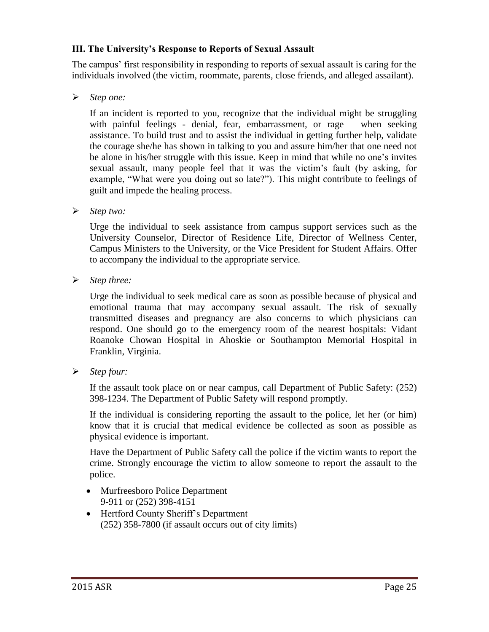#### **III. The University's Response to Reports of Sexual Assault**

The campus' first responsibility in responding to reports of sexual assault is caring for the individuals involved (the victim, roommate, parents, close friends, and alleged assailant).

*Step one:* 

If an incident is reported to you, recognize that the individual might be struggling with painful feelings - denial, fear, embarrassment, or rage – when seeking assistance. To build trust and to assist the individual in getting further help, validate the courage she/he has shown in talking to you and assure him/her that one need not be alone in his/her struggle with this issue. Keep in mind that while no one's invites sexual assault, many people feel that it was the victim's fault (by asking, for example, "What were you doing out so late?"). This might contribute to feelings of guilt and impede the healing process.

*Step two:* 

Urge the individual to seek assistance from campus support services such as the University Counselor, Director of Residence Life, Director of Wellness Center, Campus Ministers to the University, or the Vice President for Student Affairs. Offer to accompany the individual to the appropriate service.

*Step three:* 

Urge the individual to seek medical care as soon as possible because of physical and emotional trauma that may accompany sexual assault. The risk of sexually transmitted diseases and pregnancy are also concerns to which physicians can respond. One should go to the emergency room of the nearest hospitals: Vidant Roanoke Chowan Hospital in Ahoskie or Southampton Memorial Hospital in Franklin, Virginia.

*Step four:* 

If the assault took place on or near campus, call Department of Public Safety: (252) 398-1234. The Department of Public Safety will respond promptly.

If the individual is considering reporting the assault to the police, let her (or him) know that it is crucial that medical evidence be collected as soon as possible as physical evidence is important.

Have the Department of Public Safety call the police if the victim wants to report the crime. Strongly encourage the victim to allow someone to report the assault to the police.

- Murfreesboro Police Department 9-911 or (252) 398-4151
- Hertford County Sheriff's Department (252) 358-7800 (if assault occurs out of city limits)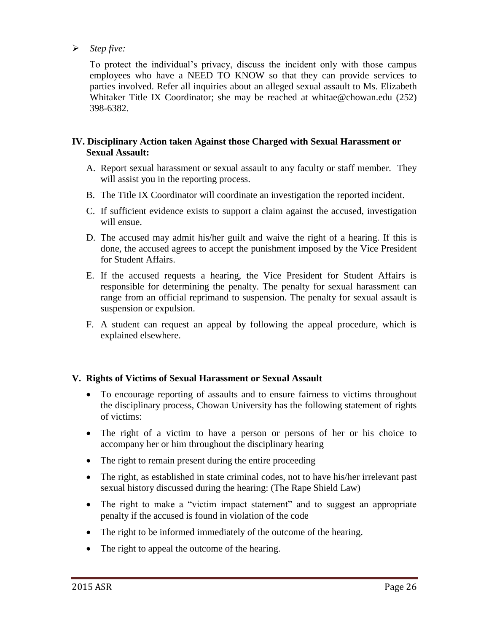#### *Step five:*

To protect the individual's privacy, discuss the incident only with those campus employees who have a NEED TO KNOW so that they can provide services to parties involved. Refer all inquiries about an alleged sexual assault to Ms. Elizabeth Whitaker Title IX Coordinator; she may be reached at whitae@chowan.edu (252) 398-6382.

#### **IV. Disciplinary Action taken Against those Charged with Sexual Harassment or Sexual Assault:**

- A. Report sexual harassment or sexual assault to any faculty or staff member. They will assist you in the reporting process.
- B. The Title IX Coordinator will coordinate an investigation the reported incident.
- C. If sufficient evidence exists to support a claim against the accused, investigation will ensue.
- D. The accused may admit his/her guilt and waive the right of a hearing. If this is done, the accused agrees to accept the punishment imposed by the Vice President for Student Affairs.
- E. If the accused requests a hearing, the Vice President for Student Affairs is responsible for determining the penalty. The penalty for sexual harassment can range from an official reprimand to suspension. The penalty for sexual assault is suspension or expulsion.
- F. A student can request an appeal by following the appeal procedure, which is explained elsewhere.

#### **V. Rights of Victims of Sexual Harassment or Sexual Assault**

- To encourage reporting of assaults and to ensure fairness to victims throughout the disciplinary process, Chowan University has the following statement of rights of victims:
- The right of a victim to have a person or persons of her or his choice to accompany her or him throughout the disciplinary hearing
- The right to remain present during the entire proceeding
- The right, as established in state criminal codes, not to have his/her irrelevant past sexual history discussed during the hearing: (The Rape Shield Law)
- The right to make a "victim impact statement" and to suggest an appropriate penalty if the accused is found in violation of the code
- The right to be informed immediately of the outcome of the hearing.
- The right to appeal the outcome of the hearing.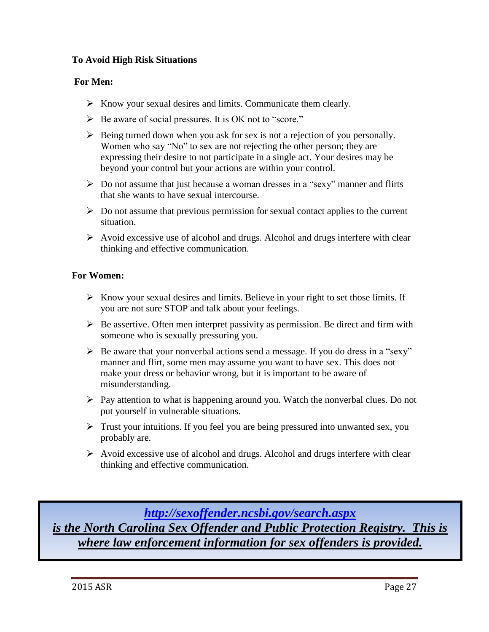#### **To Avoid High Risk Situations**

#### **For Men:**

- $\triangleright$  Know your sexual desires and limits. Communicate them clearly.
- $\triangleright$  Be aware of social pressures. It is OK not to "score."
- $\triangleright$  Being turned down when you ask for sex is not a rejection of you personally. Women who say "No" to sex are not rejecting the other person; they are expressing their desire to not participate in a single act. Your desires may be beyond your control but your actions are within your control.
- $\triangleright$  Do not assume that just because a woman dresses in a "sexy" manner and flirts that she wants to have sexual intercourse.
- $\triangleright$  Do not assume that previous permission for sexual contact applies to the current situation.
- $\triangleright$  Avoid excessive use of alcohol and drugs. Alcohol and drugs interfere with clear thinking and effective communication.

#### **For Women:**

- $\triangleright$  Know your sexual desires and limits. Believe in your right to set those limits. If you are not sure STOP and talk about your feelings.
- $\triangleright$  Be assertive. Often men interpret passivity as permission. Be direct and firm with someone who is sexually pressuring you.
- $\triangleright$  Be aware that your nonverbal actions send a message. If you do dress in a "sexy" manner and flirt, some men may assume you want to have sex. This does not make your dress or behavior wrong, but it is important to be aware of misunderstanding.
- $\triangleright$  Pay attention to what is happening around you. Watch the nonverbal clues. Do not put yourself in vulnerable situations.
- $\triangleright$  Trust your intuitions. If you feel you are being pressured into unwanted sex, you probably are.
- $\triangleright$  Avoid excessive use of alcohol and drugs. Alcohol and drugs interfere with clear thinking and effective communication.

*<http://sexoffender.ncsbi.gov/search.aspx> is the North Carolina Sex Offender and Public Protection Registry. This is where law enforcement information for sex offenders is provided.*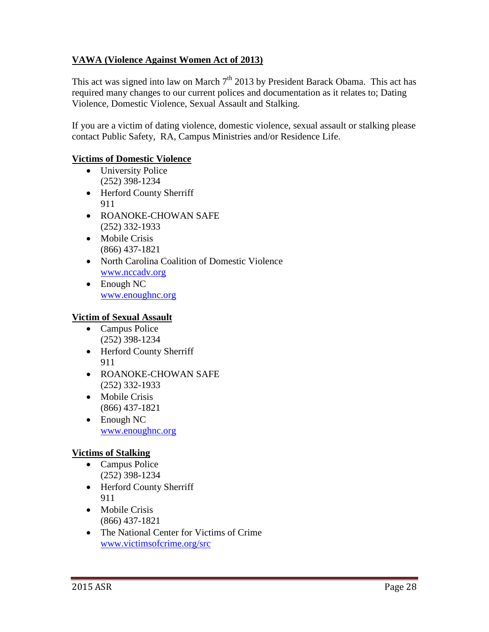## **VAWA (Violence Against Women Act of 2013)**

This act was signed into law on March  $7<sup>th</sup>$  2013 by President Barack Obama. This act has required many changes to our current polices and documentation as it relates to; Dating Violence, Domestic Violence, Sexual Assault and Stalking.

If you are a victim of dating violence, domestic violence, sexual assault or stalking please contact Public Safety, RA, Campus Ministries and/or Residence Life.

#### **Victims of Domestic Violence**

- University Police (252) 398-1234
- Herford County Sherriff 911
- ROANOKE-CHOWAN SAFE (252) 332-1933
- Mobile Crisis (866) 437-1821
- North Carolina Coalition of Domestic Violence [www.nccadv.org](http://www.nccadv.org/)
- Enough NC [www.enoughnc.org](http://www.enoughnc.org/)

### **Victim of Sexual Assault**

- Campus Police (252) 398-1234
- Herford County Sherriff 911
- ROANOKE-CHOWAN SAFE (252) 332-1933
- Mobile Crisis (866) 437-1821
- Enough NC [www.enoughnc.org](file://///chowan-fp/data/Residence%20Life/STUDENT%20OFFENSES/Crime%20Report%20Information/2013/www.enoughnc.org%20)

### **Victims of Stalking**

- Campus Police (252) 398-1234
- Herford County Sherriff 911
- Mobile Crisis (866) 437-1821
- The National Center for Victims of Crime [www.victimsofcrime.org/src](http://www.victimsofcrime.org/src)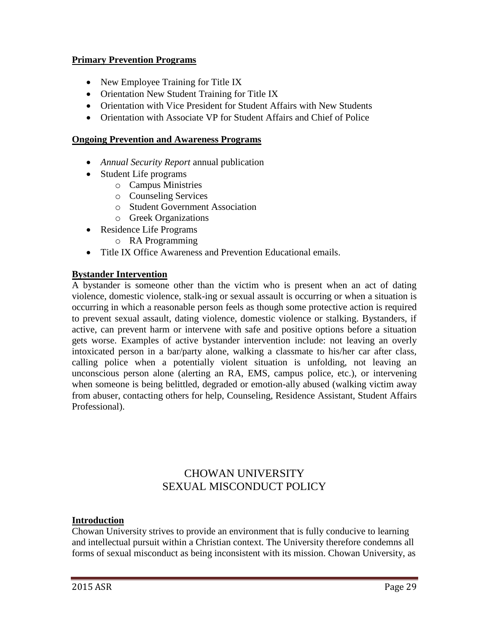#### **Primary Prevention Programs**

- New Employee Training for Title IX
- Orientation New Student Training for Title IX
- Orientation with Vice President for Student Affairs with New Students
- Orientation with Associate VP for Student Affairs and Chief of Police

#### **Ongoing Prevention and Awareness Programs**

- *Annual Security Report* annual publication
- Student Life programs
	- o Campus Ministries
	- o Counseling Services
	- o Student Government Association
	- o Greek Organizations
- Residence Life Programs
	- o RA Programming
- Title IX Office Awareness and Prevention Educational emails.

#### **Bystander Intervention**

A bystander is someone other than the victim who is present when an act of dating violence, domestic violence, stalk-ing or sexual assault is occurring or when a situation is occurring in which a reasonable person feels as though some protective action is required to prevent sexual assault, dating violence, domestic violence or stalking. Bystanders, if active, can prevent harm or intervene with safe and positive options before a situation gets worse. Examples of active bystander intervention include: not leaving an overly intoxicated person in a bar/party alone, walking a classmate to his/her car after class, calling police when a potentially violent situation is unfolding, not leaving an unconscious person alone (alerting an RA, EMS, campus police, etc.), or intervening when someone is being belittled, degraded or emotion-ally abused (walking victim away from abuser, contacting others for help, Counseling, Residence Assistant, Student Affairs Professional).

## CHOWAN UNIVERSITY SEXUAL MISCONDUCT POLICY

#### **Introduction**

Chowan University strives to provide an environment that is fully conducive to learning and intellectual pursuit within a Christian context. The University therefore condemns all forms of sexual misconduct as being inconsistent with its mission. Chowan University, as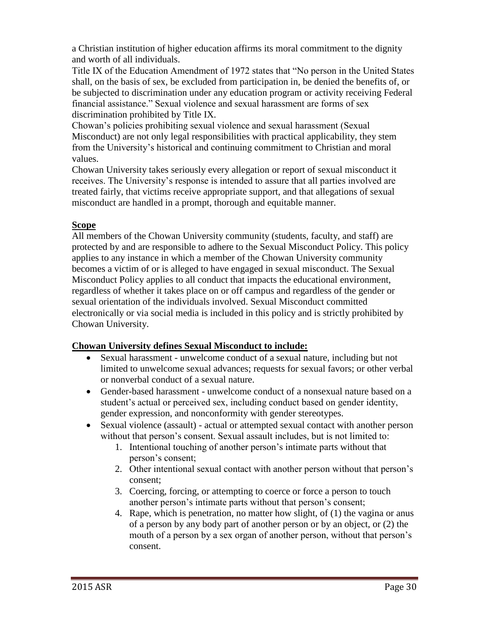a Christian institution of higher education affirms its moral commitment to the dignity and worth of all individuals.

Title IX of the Education Amendment of 1972 states that "No person in the United States shall, on the basis of sex, be excluded from participation in, be denied the benefits of, or be subjected to discrimination under any education program or activity receiving Federal financial assistance." Sexual violence and sexual harassment are forms of sex discrimination prohibited by Title IX.

Chowan's policies prohibiting sexual violence and sexual harassment (Sexual Misconduct) are not only legal responsibilities with practical applicability, they stem from the University's historical and continuing commitment to Christian and moral values.

Chowan University takes seriously every allegation or report of sexual misconduct it receives. The University's response is intended to assure that all parties involved are treated fairly, that victims receive appropriate support, and that allegations of sexual misconduct are handled in a prompt, thorough and equitable manner.

## **Scope**

All members of the Chowan University community (students, faculty, and staff) are protected by and are responsible to adhere to the Sexual Misconduct Policy. This policy applies to any instance in which a member of the Chowan University community becomes a victim of or is alleged to have engaged in sexual misconduct. The Sexual Misconduct Policy applies to all conduct that impacts the educational environment, regardless of whether it takes place on or off campus and regardless of the gender or sexual orientation of the individuals involved. Sexual Misconduct committed electronically or via social media is included in this policy and is strictly prohibited by Chowan University.

### **Chowan University defines Sexual Misconduct to include:**

- Sexual harassment unwelcome conduct of a sexual nature, including but not limited to unwelcome sexual advances; requests for sexual favors; or other verbal or nonverbal conduct of a sexual nature.
- Gender-based harassment unwelcome conduct of a nonsexual nature based on a student's actual or perceived sex, including conduct based on gender identity, gender expression, and nonconformity with gender stereotypes.
- Sexual violence (assault) actual or attempted sexual contact with another person without that person's consent. Sexual assault includes, but is not limited to:
	- 1. Intentional touching of another person's intimate parts without that person's consent;
	- 2. Other intentional sexual contact with another person without that person's consent;
	- 3. Coercing, forcing, or attempting to coerce or force a person to touch another person's intimate parts without that person's consent;
	- 4. Rape, which is penetration, no matter how slight, of (1) the vagina or anus of a person by any body part of another person or by an object, or (2) the mouth of a person by a sex organ of another person, without that person's consent.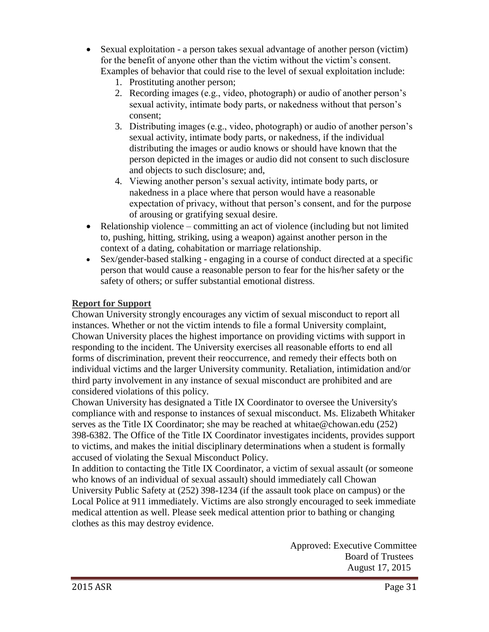- Sexual exploitation a person takes sexual advantage of another person (victim) for the benefit of anyone other than the victim without the victim's consent. Examples of behavior that could rise to the level of sexual exploitation include:
	- 1. Prostituting another person;
	- 2. Recording images (e.g., video, photograph) or audio of another person's sexual activity, intimate body parts, or nakedness without that person's consent;
	- 3. Distributing images (e.g., video, photograph) or audio of another person's sexual activity, intimate body parts, or nakedness, if the individual distributing the images or audio knows or should have known that the person depicted in the images or audio did not consent to such disclosure and objects to such disclosure; and,
	- 4. Viewing another person's sexual activity, intimate body parts, or nakedness in a place where that person would have a reasonable expectation of privacy, without that person's consent, and for the purpose of arousing or gratifying sexual desire.
- Relationship violence committing an act of violence (including but not limited to, pushing, hitting, striking, using a weapon) against another person in the context of a dating, cohabitation or marriage relationship.
- Sex/gender-based stalking engaging in a course of conduct directed at a specific person that would cause a reasonable person to fear for the his/her safety or the safety of others; or suffer substantial emotional distress.

#### **Report for Support**

Chowan University strongly encourages any victim of sexual misconduct to report all instances. Whether or not the victim intends to file a formal University complaint, Chowan University places the highest importance on providing victims with support in responding to the incident. The University exercises all reasonable efforts to end all forms of discrimination, prevent their reoccurrence, and remedy their effects both on individual victims and the larger University community. Retaliation, intimidation and/or third party involvement in any instance of sexual misconduct are prohibited and are considered violations of this policy.

Chowan University has designated a Title IX Coordinator to oversee the University's compliance with and response to instances of sexual misconduct. Ms. Elizabeth Whitaker serves as the Title IX Coordinator; she may be reached at whitae@chowan.edu (252) 398-6382. The Office of the Title IX Coordinator investigates incidents, provides support to victims, and makes the initial disciplinary determinations when a student is formally accused of violating the Sexual Misconduct Policy.

In addition to contacting the Title IX Coordinator, a victim of sexual assault (or someone who knows of an individual of sexual assault) should immediately call Chowan University Public Safety at (252) 398-1234 (if the assault took place on campus) or the Local Police at 911 immediately. Victims are also strongly encouraged to seek immediate medical attention as well. Please seek medical attention prior to bathing or changing clothes as this may destroy evidence.

> Approved: Executive Committee Board of Trustees August 17, 2015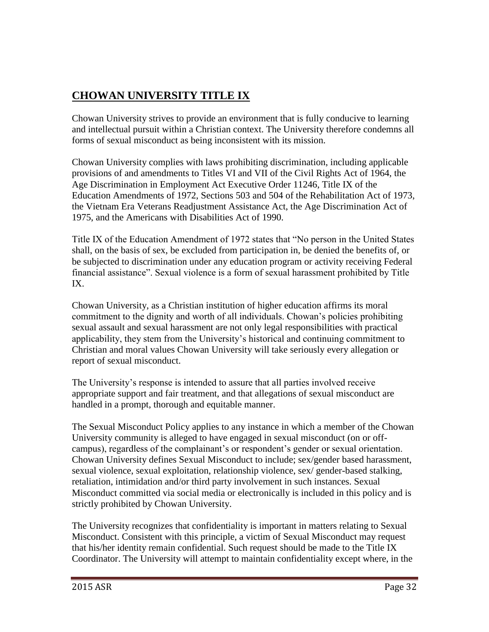# **CHOWAN UNIVERSITY TITLE IX**

Chowan University strives to provide an environment that is fully conducive to learning and intellectual pursuit within a Christian context. The University therefore condemns all forms of sexual misconduct as being inconsistent with its mission.

Chowan University complies with laws prohibiting discrimination, including applicable provisions of and amendments to Titles VI and VII of the Civil Rights Act of 1964, the Age Discrimination in Employment Act Executive Order 11246, Title IX of the Education Amendments of 1972, Sections 503 and 504 of the Rehabilitation Act of 1973, the Vietnam Era Veterans Readjustment Assistance Act, the Age Discrimination Act of 1975, and the Americans with Disabilities Act of 1990.

Title IX of the Education Amendment of 1972 states that "No person in the United States shall, on the basis of sex, be excluded from participation in, be denied the benefits of, or be subjected to discrimination under any education program or activity receiving Federal financial assistance". Sexual violence is a form of sexual harassment prohibited by Title IX.

Chowan University, as a Christian institution of higher education affirms its moral commitment to the dignity and worth of all individuals. Chowan's policies prohibiting sexual assault and sexual harassment are not only legal responsibilities with practical applicability, they stem from the University's historical and continuing commitment to Christian and moral values Chowan University will take seriously every allegation or report of sexual misconduct.

The University's response is intended to assure that all parties involved receive appropriate support and fair treatment, and that allegations of sexual misconduct are handled in a prompt, thorough and equitable manner.

The Sexual Misconduct Policy applies to any instance in which a member of the Chowan University community is alleged to have engaged in sexual misconduct (on or offcampus), regardless of the complainant's or respondent's gender or sexual orientation. Chowan University defines Sexual Misconduct to include; sex/gender based harassment, sexual violence, sexual exploitation, relationship violence, sex/ gender-based stalking, retaliation, intimidation and/or third party involvement in such instances. Sexual Misconduct committed via social media or electronically is included in this policy and is strictly prohibited by Chowan University.

The University recognizes that confidentiality is important in matters relating to Sexual Misconduct. Consistent with this principle, a victim of Sexual Misconduct may request that his/her identity remain confidential. Such request should be made to the Title IX Coordinator. The University will attempt to maintain confidentiality except where, in the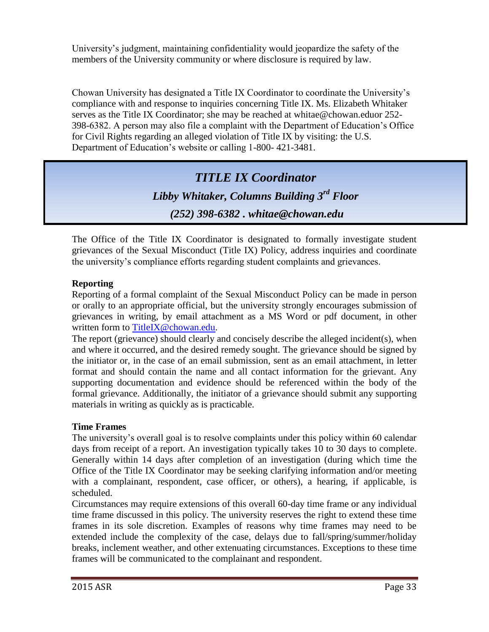University's judgment, maintaining confidentiality would jeopardize the safety of the members of the University community or where disclosure is required by law.

Chowan University has designated a Title IX Coordinator to coordinate the University's compliance with and response to inquiries concerning Title IX. Ms. Elizabeth Whitaker serves as the Title IX Coordinator; she may be reached at whitae@chowan.eduor 252- 398-6382. A person may also file a complaint with the Department of Education's Office for Civil Rights regarding an alleged violation of Title IX by visiting: the U.S. Department of Education's website or calling 1-800- 421-3481.

**Title IX Student Formal Grievance Process** (252) 398-6382 . whitae@chowan.edu *TITLE IX Coordinator Libby Whitaker, Columns Building 3rd Floor*

The Office of the Title IX Coordinator is designated to formally investigate student grievances of the Sexual Misconduct (Title IX) Policy, address inquiries and coordinate the university's compliance efforts regarding student complaints and grievances.

### **Reporting**

Reporting of a formal complaint of the Sexual Misconduct Policy can be made in person or orally to an appropriate official, but the university strongly encourages submission of grievances in writing, by email attachment as a MS Word or pdf document, in other written form to [TitleIX@chowan.edu.](mailto:TitleIX@chowan.edu)

The report (grievance) should clearly and concisely describe the alleged incident(s), when and where it occurred, and the desired remedy sought. The grievance should be signed by the initiator or, in the case of an email submission, sent as an email attachment, in letter format and should contain the name and all contact information for the grievant. Any supporting documentation and evidence should be referenced within the body of the formal grievance. Additionally, the initiator of a grievance should submit any supporting materials in writing as quickly as is practicable.

#### **Time Frames**

The university's overall goal is to resolve complaints under this policy within 60 calendar days from receipt of a report. An investigation typically takes 10 to 30 days to complete. Generally within 14 days after completion of an investigation (during which time the Office of the Title IX Coordinator may be seeking clarifying information and/or meeting with a complainant, respondent, case officer, or others), a hearing, if applicable, is scheduled.

Circumstances may require extensions of this overall 60-day time frame or any individual time frame discussed in this policy. The university reserves the right to extend these time frames in its sole discretion. Examples of reasons why time frames may need to be extended include the complexity of the case, delays due to fall/spring/summer/holiday breaks, inclement weather, and other extenuating circumstances. Exceptions to these time frames will be communicated to the complainant and respondent.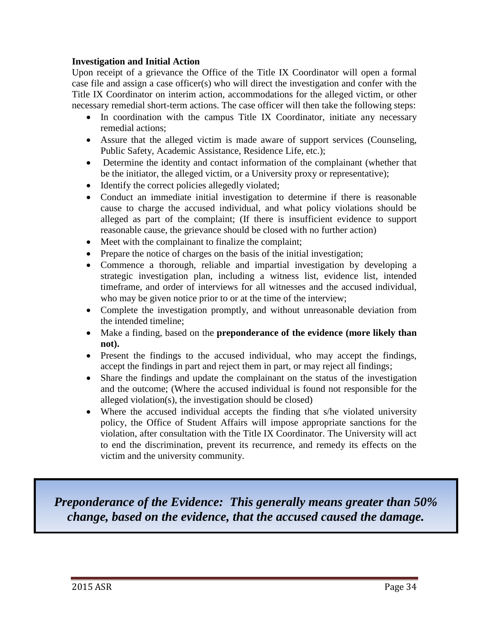#### **Investigation and Initial Action**

Upon receipt of a grievance the Office of the Title IX Coordinator will open a formal case file and assign a case officer(s) who will direct the investigation and confer with the Title IX Coordinator on interim action, accommodations for the alleged victim, or other necessary remedial short-term actions. The case officer will then take the following steps:

- In coordination with the campus Title IX Coordinator, initiate any necessary remedial actions;
- Assure that the alleged victim is made aware of support services (Counseling, Public Safety, Academic Assistance, Residence Life, etc.);
- Determine the identity and contact information of the complainant (whether that be the initiator, the alleged victim, or a University proxy or representative);
- Identify the correct policies allegedly violated;
- Conduct an immediate initial investigation to determine if there is reasonable cause to charge the accused individual, and what policy violations should be alleged as part of the complaint; (If there is insufficient evidence to support reasonable cause, the grievance should be closed with no further action)
- Meet with the complainant to finalize the complaint;
- Prepare the notice of charges on the basis of the initial investigation;
- Commence a thorough, reliable and impartial investigation by developing a strategic investigation plan, including a witness list, evidence list, intended timeframe, and order of interviews for all witnesses and the accused individual, who may be given notice prior to or at the time of the interview;
- Complete the investigation promptly, and without unreasonable deviation from the intended timeline;
- Make a finding, based on the **preponderance of the evidence (more likely than not).**
- Present the findings to the accused individual, who may accept the findings, accept the findings in part and reject them in part, or may reject all findings;
- Share the findings and update the complainant on the status of the investigation and the outcome; (Where the accused individual is found not responsible for the alleged violation(s), the investigation should be closed)
- Where the accused individual accepts the finding that s/he violated university policy, the Office of Student Affairs will impose appropriate sanctions for the violation, after consultation with the Title IX Coordinator. The University will act to end the discrimination, prevent its recurrence, and remedy its effects on the victim and the university community.

*Preponderance of the Evidence: This generally means greater than 50% change, based on the evidence, that the accused caused the damage.*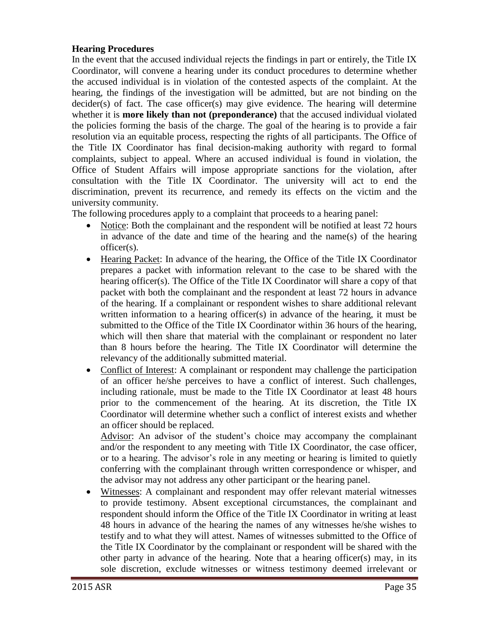#### **Hearing Procedures**

In the event that the accused individual rejects the findings in part or entirely, the Title IX Coordinator, will convene a hearing under its conduct procedures to determine whether the accused individual is in violation of the contested aspects of the complaint. At the hearing, the findings of the investigation will be admitted, but are not binding on the decider(s) of fact. The case officer(s) may give evidence. The hearing will determine whether it is **more likely than not (preponderance)** that the accused individual violated the policies forming the basis of the charge. The goal of the hearing is to provide a fair resolution via an equitable process, respecting the rights of all participants. The Office of the Title IX Coordinator has final decision-making authority with regard to formal complaints, subject to appeal. Where an accused individual is found in violation, the Office of Student Affairs will impose appropriate sanctions for the violation, after consultation with the Title IX Coordinator. The university will act to end the discrimination, prevent its recurrence, and remedy its effects on the victim and the university community.

The following procedures apply to a complaint that proceeds to a hearing panel:

- Notice: Both the complainant and the respondent will be notified at least 72 hours in advance of the date and time of the hearing and the name(s) of the hearing officer(s).
- Hearing Packet: In advance of the hearing, the Office of the Title IX Coordinator prepares a packet with information relevant to the case to be shared with the hearing officer(s). The Office of the Title IX Coordinator will share a copy of that packet with both the complainant and the respondent at least 72 hours in advance of the hearing. If a complainant or respondent wishes to share additional relevant written information to a hearing officer(s) in advance of the hearing, it must be submitted to the Office of the Title IX Coordinator within 36 hours of the hearing, which will then share that material with the complainant or respondent no later than 8 hours before the hearing. The Title IX Coordinator will determine the relevancy of the additionally submitted material.
- Conflict of Interest: A complainant or respondent may challenge the participation of an officer he/she perceives to have a conflict of interest. Such challenges, including rationale, must be made to the Title IX Coordinator at least 48 hours prior to the commencement of the hearing. At its discretion, the Title IX Coordinator will determine whether such a conflict of interest exists and whether an officer should be replaced.

Advisor: An advisor of the student's choice may accompany the complainant and/or the respondent to any meeting with Title IX Coordinator, the case officer, or to a hearing. The advisor's role in any meeting or hearing is limited to quietly conferring with the complainant through written correspondence or whisper, and the advisor may not address any other participant or the hearing panel.

 Witnesses: A complainant and respondent may offer relevant material witnesses to provide testimony. Absent exceptional circumstances, the complainant and respondent should inform the Office of the Title IX Coordinator in writing at least 48 hours in advance of the hearing the names of any witnesses he/she wishes to testify and to what they will attest. Names of witnesses submitted to the Office of the Title IX Coordinator by the complainant or respondent will be shared with the other party in advance of the hearing. Note that a hearing officer(s) may, in its sole discretion, exclude witnesses or witness testimony deemed irrelevant or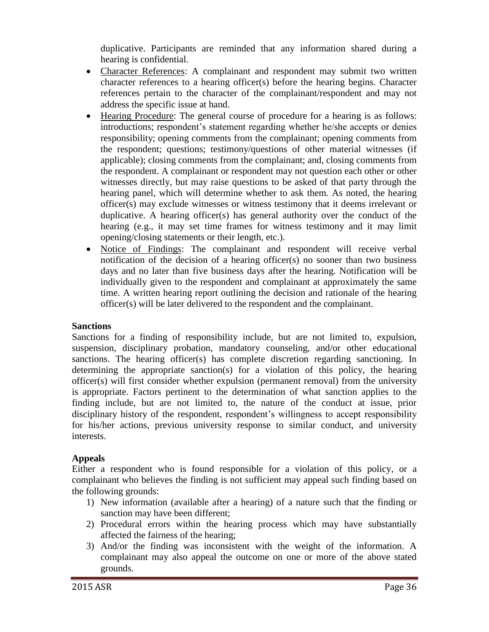duplicative. Participants are reminded that any information shared during a hearing is confidential.

- Character References: A complainant and respondent may submit two written character references to a hearing officer(s) before the hearing begins. Character references pertain to the character of the complainant/respondent and may not address the specific issue at hand.
- Hearing Procedure: The general course of procedure for a hearing is as follows: introductions; respondent's statement regarding whether he/she accepts or denies responsibility; opening comments from the complainant; opening comments from the respondent; questions; testimony/questions of other material witnesses (if applicable); closing comments from the complainant; and, closing comments from the respondent. A complainant or respondent may not question each other or other witnesses directly, but may raise questions to be asked of that party through the hearing panel, which will determine whether to ask them. As noted, the hearing officer(s) may exclude witnesses or witness testimony that it deems irrelevant or duplicative. A hearing officer(s) has general authority over the conduct of the hearing (e.g., it may set time frames for witness testimony and it may limit opening/closing statements or their length, etc.).
- Notice of Findings: The complainant and respondent will receive verbal notification of the decision of a hearing officer(s) no sooner than two business days and no later than five business days after the hearing. Notification will be individually given to the respondent and complainant at approximately the same time. A written hearing report outlining the decision and rationale of the hearing officer(s) will be later delivered to the respondent and the complainant.

#### **Sanctions**

Sanctions for a finding of responsibility include, but are not limited to, expulsion, suspension, disciplinary probation, mandatory counseling, and/or other educational sanctions. The hearing officer(s) has complete discretion regarding sanctioning. In determining the appropriate sanction(s) for a violation of this policy, the hearing officer(s) will first consider whether expulsion (permanent removal) from the university is appropriate. Factors pertinent to the determination of what sanction applies to the finding include, but are not limited to, the nature of the conduct at issue, prior disciplinary history of the respondent, respondent's willingness to accept responsibility for his/her actions, previous university response to similar conduct, and university interests.

#### **Appeals**

Either a respondent who is found responsible for a violation of this policy, or a complainant who believes the finding is not sufficient may appeal such finding based on the following grounds:

- 1) New information (available after a hearing) of a nature such that the finding or sanction may have been different;
- 2) Procedural errors within the hearing process which may have substantially affected the fairness of the hearing;
- 3) And/or the finding was inconsistent with the weight of the information. A complainant may also appeal the outcome on one or more of the above stated grounds.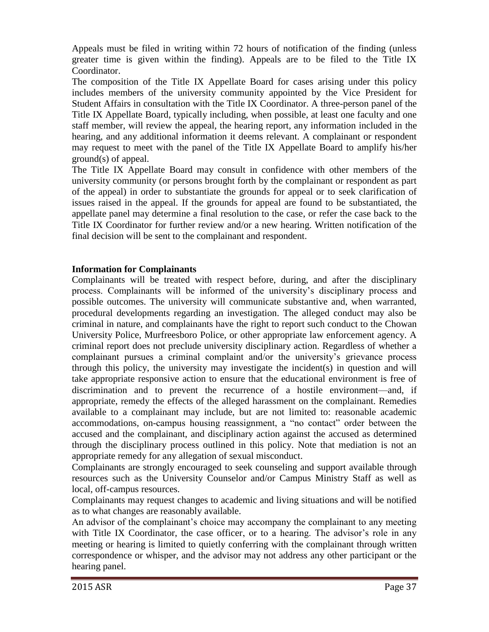Appeals must be filed in writing within 72 hours of notification of the finding (unless greater time is given within the finding). Appeals are to be filed to the Title IX Coordinator.

The composition of the Title IX Appellate Board for cases arising under this policy includes members of the university community appointed by the Vice President for Student Affairs in consultation with the Title IX Coordinator. A three-person panel of the Title IX Appellate Board, typically including, when possible, at least one faculty and one staff member, will review the appeal, the hearing report, any information included in the hearing, and any additional information it deems relevant. A complainant or respondent may request to meet with the panel of the Title IX Appellate Board to amplify his/her ground(s) of appeal.

The Title IX Appellate Board may consult in confidence with other members of the university community (or persons brought forth by the complainant or respondent as part of the appeal) in order to substantiate the grounds for appeal or to seek clarification of issues raised in the appeal. If the grounds for appeal are found to be substantiated, the appellate panel may determine a final resolution to the case, or refer the case back to the Title IX Coordinator for further review and/or a new hearing. Written notification of the final decision will be sent to the complainant and respondent.

#### **Information for Complainants**

Complainants will be treated with respect before, during, and after the disciplinary process. Complainants will be informed of the university's disciplinary process and possible outcomes. The university will communicate substantive and, when warranted, procedural developments regarding an investigation. The alleged conduct may also be criminal in nature, and complainants have the right to report such conduct to the Chowan University Police, Murfreesboro Police, or other appropriate law enforcement agency. A criminal report does not preclude university disciplinary action. Regardless of whether a complainant pursues a criminal complaint and/or the university's grievance process through this policy, the university may investigate the incident(s) in question and will take appropriate responsive action to ensure that the educational environment is free of discrimination and to prevent the recurrence of a hostile environment—and, if appropriate, remedy the effects of the alleged harassment on the complainant. Remedies available to a complainant may include, but are not limited to: reasonable academic accommodations, on-campus housing reassignment, a "no contact" order between the accused and the complainant, and disciplinary action against the accused as determined through the disciplinary process outlined in this policy. Note that mediation is not an appropriate remedy for any allegation of sexual misconduct.

Complainants are strongly encouraged to seek counseling and support available through resources such as the University Counselor and/or Campus Ministry Staff as well as local, off-campus resources.

Complainants may request changes to academic and living situations and will be notified as to what changes are reasonably available.

An advisor of the complainant's choice may accompany the complainant to any meeting with Title IX Coordinator, the case officer, or to a hearing. The advisor's role in any meeting or hearing is limited to quietly conferring with the complainant through written correspondence or whisper, and the advisor may not address any other participant or the hearing panel.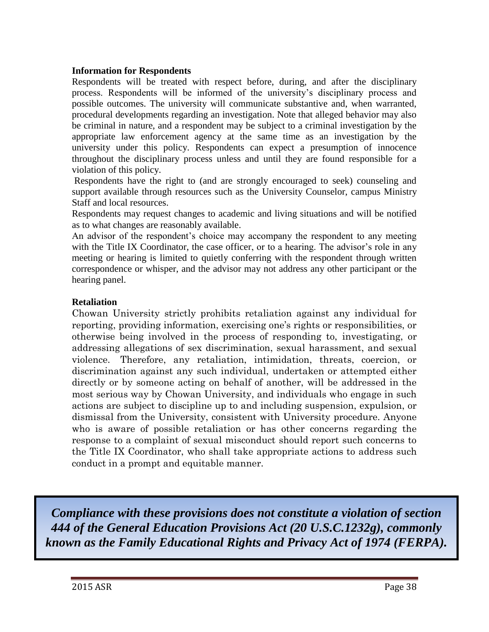#### **Information for Respondents**

Respondents will be treated with respect before, during, and after the disciplinary process. Respondents will be informed of the university's disciplinary process and possible outcomes. The university will communicate substantive and, when warranted, procedural developments regarding an investigation. Note that alleged behavior may also be criminal in nature, and a respondent may be subject to a criminal investigation by the appropriate law enforcement agency at the same time as an investigation by the university under this policy. Respondents can expect a presumption of innocence throughout the disciplinary process unless and until they are found responsible for a violation of this policy.

Respondents have the right to (and are strongly encouraged to seek) counseling and support available through resources such as the University Counselor, campus Ministry Staff and local resources.

Respondents may request changes to academic and living situations and will be notified as to what changes are reasonably available.

An advisor of the respondent's choice may accompany the respondent to any meeting with the Title IX Coordinator, the case officer, or to a hearing. The advisor's role in any meeting or hearing is limited to quietly conferring with the respondent through written correspondence or whisper, and the advisor may not address any other participant or the hearing panel.

#### **Retaliation**

Chowan University strictly prohibits retaliation against any individual for reporting, providing information, exercising one's rights or responsibilities, or otherwise being involved in the process of responding to, investigating, or addressing allegations of sex discrimination, sexual harassment, and sexual violence. Therefore, any retaliation, intimidation, threats, coercion, or discrimination against any such individual, undertaken or attempted either directly or by someone acting on behalf of another, will be addressed in the most serious way by Chowan University, and individuals who engage in such actions are subject to discipline up to and including suspension, expulsion, or dismissal from the University, consistent with University procedure. Anyone who is aware of possible retaliation or has other concerns regarding the response to a complaint of sexual misconduct should report such concerns to the Title IX Coordinator, who shall take appropriate actions to address such conduct in a prompt and equitable manner.

*Compliance with these provisions does not constitute a violation of section 444 of the General Education Provisions Act (20 U.S.C.1232g), commonly known as the Family Educational Rights and Privacy Act of 1974 (FERPA).*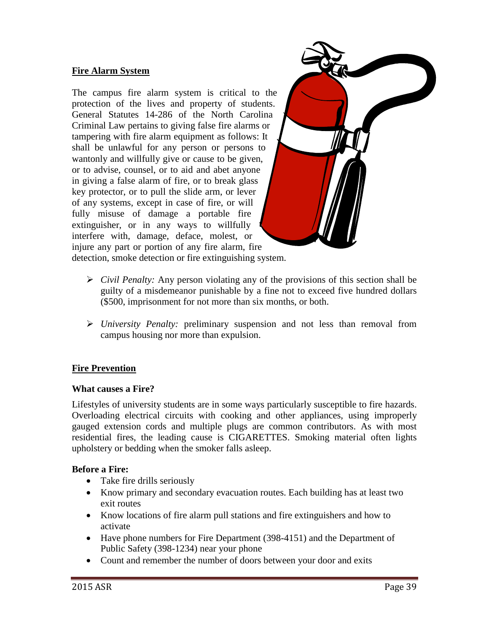#### **Fire Alarm System**

The campus fire alarm system is critical to the protection of the lives and property of students. General Statutes 14-286 of the North Carolina Criminal Law pertains to giving false fire alarms or tampering with fire alarm equipment as follows: It shall be unlawful for any person or persons to wantonly and willfully give or cause to be given, or to advise, counsel, or to aid and abet anyone in giving a false alarm of fire, or to break glass key protector, or to pull the slide arm, or lever of any systems, except in case of fire, or will fully misuse of damage a portable fire extinguisher, or in any ways to willfully interfere with, damage, deface, molest, or injure any part or portion of any fire alarm, fire



detection, smoke detection or fire extinguishing system.

- $\triangleright$  *Civil Penalty:* Any person violating any of the provisions of this section shall be guilty of a misdemeanor punishable by a fine not to exceed five hundred dollars (\$500, imprisonment for not more than six months, or both.
- *University Penalty:* preliminary suspension and not less than removal from campus housing nor more than expulsion.

#### **Fire Prevention**

#### **What causes a Fire?**

Lifestyles of university students are in some ways particularly susceptible to fire hazards. Overloading electrical circuits with cooking and other appliances, using improperly gauged extension cords and multiple plugs are common contributors. As with most residential fires, the leading cause is CIGARETTES. Smoking material often lights upholstery or bedding when the smoker falls asleep.

#### **Before a Fire:**

- Take fire drills seriously
- Know primary and secondary evacuation routes. Each building has at least two exit routes
- Know locations of fire alarm pull stations and fire extinguishers and how to activate
- Have phone numbers for Fire Department (398-4151) and the Department of Public Safety (398-1234) near your phone
- Count and remember the number of doors between your door and exits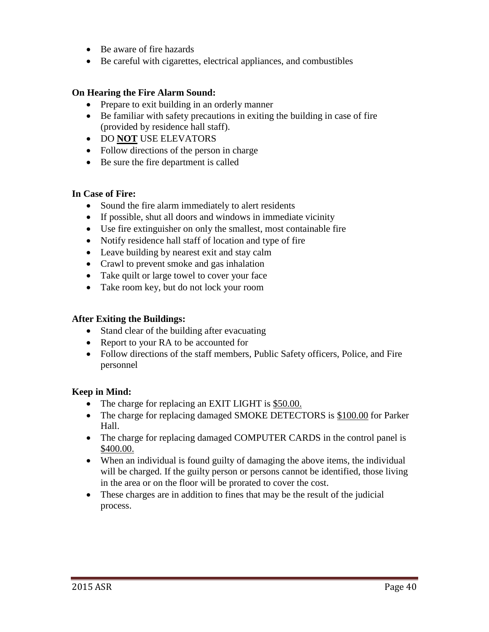- Be aware of fire hazards
- Be careful with cigarettes, electrical appliances, and combustibles

#### **On Hearing the Fire Alarm Sound:**

- Prepare to exit building in an orderly manner
- Be familiar with safety precautions in exiting the building in case of fire (provided by residence hall staff).
- DO **NOT** USE ELEVATORS
- Follow directions of the person in charge
- Be sure the fire department is called

#### **In Case of Fire:**

- Sound the fire alarm immediately to alert residents
- If possible, shut all doors and windows in immediate vicinity
- Use fire extinguisher on only the smallest, most containable fire
- Notify residence hall staff of location and type of fire
- Leave building by nearest exit and stay calm
- Crawl to prevent smoke and gas inhalation
- Take quilt or large towel to cover your face
- Take room key, but do not lock your room

#### **After Exiting the Buildings:**

- Stand clear of the building after evacuating
- Report to your RA to be accounted for
- Follow directions of the staff members, Public Safety officers, Police, and Fire personnel

#### **Keep in Mind:**

- The charge for replacing an EXIT LIGHT is \$50.00.
- The charge for replacing damaged SMOKE DETECTORS is \$100.00 for Parker Hall.
- The charge for replacing damaged COMPUTER CARDS in the control panel is \$400.00.
- When an individual is found guilty of damaging the above items, the individual will be charged. If the guilty person or persons cannot be identified, those living in the area or on the floor will be prorated to cover the cost.
- These charges are in addition to fines that may be the result of the judicial process.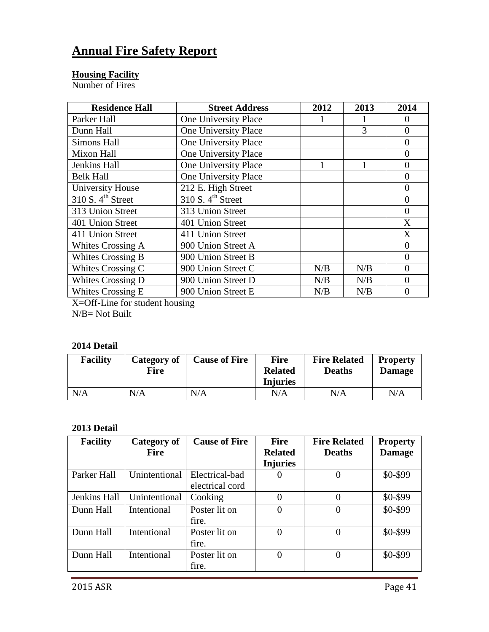# **Annual Fire Safety Report**

#### **Housing Facility**

Number of Fires

| <b>Residence Hall</b>        | <b>Street Address</b>        | 2012 | 2013 | 2014           |
|------------------------------|------------------------------|------|------|----------------|
| Parker Hall                  | One University Place         |      |      | $\theta$       |
| Dunn Hall                    | One University Place         |      | 3    | $\overline{0}$ |
| <b>Simons Hall</b>           | One University Place         |      |      | $\overline{0}$ |
| Mixon Hall                   | One University Place         |      |      | $\overline{0}$ |
| Jenkins Hall                 | One University Place         |      |      | $\overline{0}$ |
| <b>Belk Hall</b>             | One University Place         |      |      | $\theta$       |
| <b>University House</b>      | 212 E. High Street           |      |      | $\overline{0}$ |
| 310 S.4 <sup>th</sup> Street | 310 S.4 <sup>th</sup> Street |      |      | $\overline{0}$ |
| 313 Union Street             | 313 Union Street             |      |      | $\overline{0}$ |
| 401 Union Street             | 401 Union Street             |      |      | X              |
| 411 Union Street             | 411 Union Street             |      |      | X              |
| Whites Crossing A            | 900 Union Street A           |      |      | $\overline{0}$ |
| <b>Whites Crossing B</b>     | 900 Union Street B           |      |      | $\theta$       |
| Whites Crossing C            | 900 Union Street C           | N/B  | N/B  | $\theta$       |
| Whites Crossing D            | 900 Union Street D           | N/B  | N/B  | $\theta$       |
| Whites Crossing E            | 900 Union Street E           | N/B  | N/B  | 0              |

X=Off-Line for student housing

N/B= Not Built

#### **2014 Detail**

| <b>Facility</b> | Category of<br>Fire | <b>Cause of Fire</b> | <b>Fire</b><br><b>Related</b><br><b>Injuries</b> | <b>Fire Related</b><br><b>Deaths</b> | <b>Property</b><br><b>Damage</b> |
|-----------------|---------------------|----------------------|--------------------------------------------------|--------------------------------------|----------------------------------|
| N/A             | N/A                 | N/A                  | N/A                                              | N/A                                  | N/A                              |

## **2013 Detail**

| <b>Facility</b>     | Category of   | <b>Cause of Fire</b> | <b>Fire</b>      | <b>Fire Related</b> | <b>Property</b> |
|---------------------|---------------|----------------------|------------------|---------------------|-----------------|
|                     | <b>Fire</b>   |                      | <b>Related</b>   | <b>Deaths</b>       | <b>Damage</b>   |
|                     |               |                      | <b>Injuries</b>  |                     |                 |
| Parker Hall         | Unintentional | Electrical-bad       | 0                |                     | \$0-\$99        |
|                     |               | electrical cord      |                  |                     |                 |
| <b>Jenkins Hall</b> | Unintentional | Cooking              | 0                | 0                   | \$0-\$99        |
| Dunn Hall           | Intentional   | Poster lit on        | $\left( \right)$ |                     | \$0-\$99        |
|                     |               | fire.                |                  |                     |                 |
| Dunn Hall           | Intentional   | Poster lit on        | 0                |                     | \$0-\$99        |
|                     |               | fire.                |                  |                     |                 |
| Dunn Hall           | Intentional   | Poster lit on        | 0                |                     | \$0-\$99        |
|                     |               | fire.                |                  |                     |                 |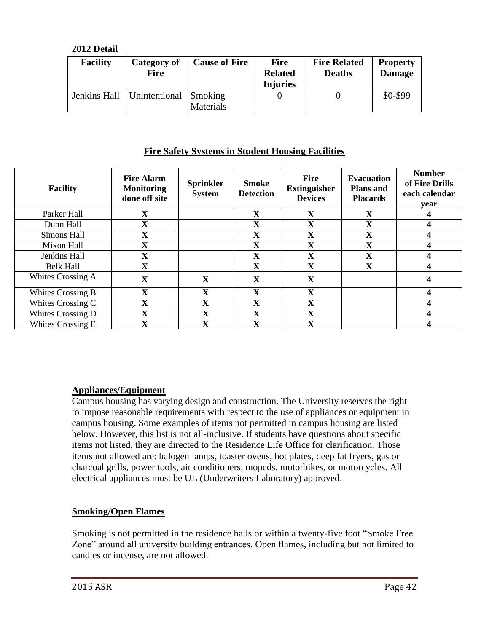**2012 Detail**

| <b>Facility</b> | Category of<br><b>Fire</b>             | <b>Cause of Fire</b> | <b>Fire</b><br><b>Related</b><br><b>Injuries</b> | <b>Fire Related</b><br><b>Deaths</b> | <b>Property</b><br><b>Damage</b> |
|-----------------|----------------------------------------|----------------------|--------------------------------------------------|--------------------------------------|----------------------------------|
|                 | Jenkins Hall   Unintentional   Smoking | Materials            |                                                  |                                      | \$0-\$99                         |

### **Fire Safety Systems in Student Housing Facilities**

| <b>Facility</b>   | <b>Fire Alarm</b><br><b>Monitoring</b><br>done off site | <b>Sprinkler</b><br><b>System</b> | <b>Smoke</b><br><b>Detection</b> | <b>Fire</b><br><b>Extinguisher</b><br><b>Devices</b> | <b>Evacuation</b><br><b>Plans</b> and<br><b>Placards</b> | <b>Number</b><br>of Fire Drills<br>each calendar<br>year |
|-------------------|---------------------------------------------------------|-----------------------------------|----------------------------------|------------------------------------------------------|----------------------------------------------------------|----------------------------------------------------------|
| Parker Hall       | $\mathbf X$                                             |                                   | $\mathbf X$                      | X                                                    | $\mathbf X$                                              |                                                          |
| Dunn Hall         | $\mathbf X$                                             |                                   | $\mathbf X$                      | $\mathbf X$                                          | $\mathbf X$                                              |                                                          |
| Simons Hall       | $\mathbf X$                                             |                                   | $\mathbf X$                      | $\mathbf X$                                          | $\overline{\mathbf{X}}$                                  |                                                          |
| Mixon Hall        | $\mathbf X$                                             |                                   | $\mathbf X$                      | $\mathbf X$                                          | $\mathbf X$                                              |                                                          |
| Jenkins Hall      | $\mathbf X$                                             |                                   | X                                | $\mathbf X$                                          | $\overline{\mathbf{X}}$                                  |                                                          |
| <b>Belk Hall</b>  | $\mathbf X$                                             |                                   | X                                | X                                                    | X                                                        |                                                          |
| Whites Crossing A | $\mathbf X$                                             | $\mathbf{X}$                      | X                                | $\mathbf X$                                          |                                                          |                                                          |
| Whites Crossing B | $\mathbf X$                                             | X                                 | X                                | $\mathbf X$                                          |                                                          |                                                          |
| Whites Crossing C | $\mathbf X$                                             | $\mathbf{X}$                      | $\mathbf X$                      | $\mathbf X$                                          |                                                          |                                                          |
| Whites Crossing D | $\mathbf X$                                             | $\mathbf X$                       | $\mathbf X$                      | $\mathbf X$                                          |                                                          |                                                          |
| Whites Crossing E | $\mathbf X$                                             | $\mathbf X$                       | X                                | X                                                    |                                                          |                                                          |

### **Appliances/Equipment**

Campus housing has varying design and construction. The University reserves the right to impose reasonable requirements with respect to the use of appliances or equipment in campus housing. Some examples of items not permitted in campus housing are listed below. However, this list is not all-inclusive. If students have questions about specific items not listed, they are directed to the Residence Life Office for clarification. Those items not allowed are: halogen lamps, toaster ovens, hot plates, deep fat fryers, gas or charcoal grills, power tools, air conditioners, mopeds, motorbikes, or motorcycles. All electrical appliances must be UL (Underwriters Laboratory) approved.

### **Smoking/Open Flames**

Smoking is not permitted in the residence halls or within a twenty-five foot "Smoke Free Zone" around all university building entrances. Open flames, including but not limited to candles or incense, are not allowed.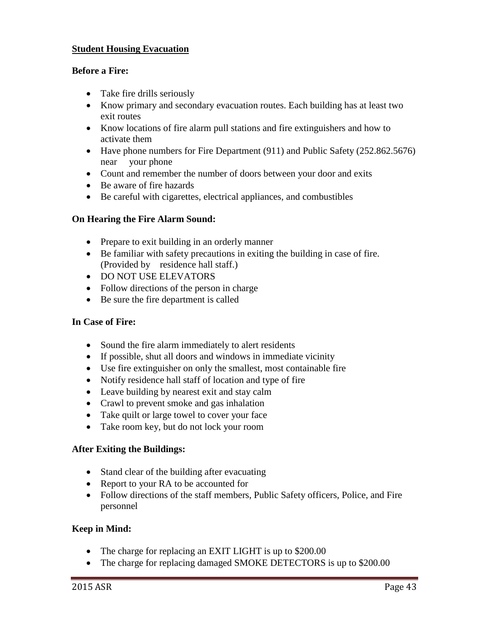#### **Student Housing Evacuation**

#### **Before a Fire:**

- Take fire drills seriously
- Know primary and secondary evacuation routes. Each building has at least two exit routes
- Know locations of fire alarm pull stations and fire extinguishers and how to activate them
- Have phone numbers for Fire Department (911) and Public Safety (252.862.5676) near your phone
- Count and remember the number of doors between your door and exits
- Be aware of fire hazards
- Be careful with cigarettes, electrical appliances, and combustibles

#### **On Hearing the Fire Alarm Sound:**

- Prepare to exit building in an orderly manner
- Be familiar with safety precautions in exiting the building in case of fire. (Provided by residence hall staff.)
- DO NOT USE ELEVATORS
- Follow directions of the person in charge
- Be sure the fire department is called

#### **In Case of Fire:**

- Sound the fire alarm immediately to alert residents
- If possible, shut all doors and windows in immediate vicinity
- Use fire extinguisher on only the smallest, most containable fire
- Notify residence hall staff of location and type of fire
- Leave building by nearest exit and stay calm
- Crawl to prevent smoke and gas inhalation
- Take quilt or large towel to cover your face
- Take room key, but do not lock your room

#### **After Exiting the Buildings:**

- Stand clear of the building after evacuating
- Report to your RA to be accounted for
- Follow directions of the staff members, Public Safety officers, Police, and Fire personnel

#### **Keep in Mind:**

- The charge for replacing an EXIT LIGHT is up to \$200.00
- The charge for replacing damaged SMOKE DETECTORS is up to \$200.00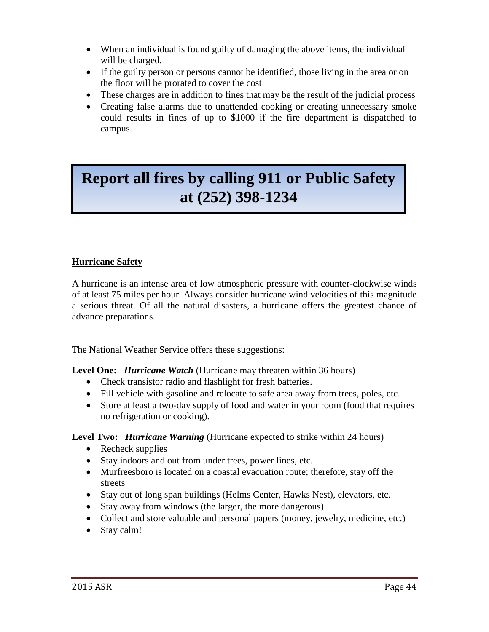- When an individual is found guilty of damaging the above items, the individual will be charged.
- If the guilty person or persons cannot be identified, those living in the area or on the floor will be prorated to cover the cost
- These charges are in addition to fines that may be the result of the judicial process
- Creating false alarms due to unattended cooking or creating unnecessary smoke could results in fines of up to \$1000 if the fire department is dispatched to campus.

# **Report all fires by calling 911 or Public Safety at (252) 398-1234**

### **Hurricane Safety**

A hurricane is an intense area of low atmospheric pressure with counter-clockwise winds of at least 75 miles per hour. Always consider hurricane wind velocities of this magnitude a serious threat. Of all the natural disasters, a hurricane offers the greatest chance of advance preparations.

The National Weather Service offers these suggestions:

**Level One:** *Hurricane Watch* (Hurricane may threaten within 36 hours)

- Check transistor radio and flashlight for fresh batteries.
- Fill vehicle with gasoline and relocate to safe area away from trees, poles, etc.
- Store at least a two-day supply of food and water in your room (food that requires no refrigeration or cooking).

**Level Two:** *Hurricane Warning* (Hurricane expected to strike within 24 hours)

- Recheck supplies
- Stay indoors and out from under trees, power lines, etc.
- Murfreesboro is located on a coastal evacuation route; therefore, stay off the streets
- Stay out of long span buildings (Helms Center, Hawks Nest), elevators, etc.
- Stay away from windows (the larger, the more dangerous)
- Collect and store valuable and personal papers (money, jewelry, medicine, etc.)
- Stay calm!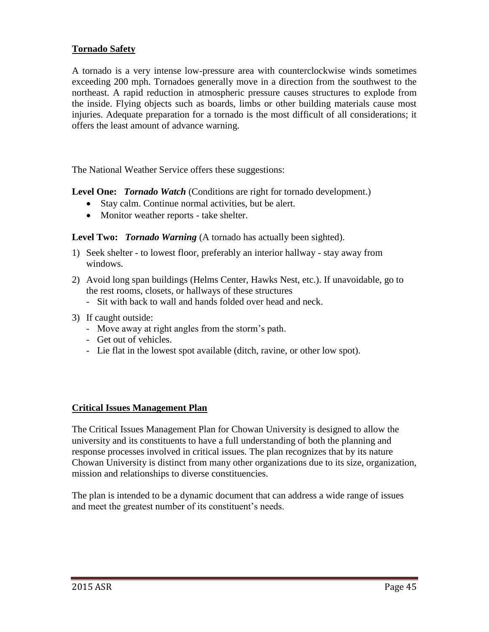#### **Tornado Safety**

A tornado is a very intense low-pressure area with counterclockwise winds sometimes exceeding 200 mph. Tornadoes generally move in a direction from the southwest to the northeast. A rapid reduction in atmospheric pressure causes structures to explode from the inside. Flying objects such as boards, limbs or other building materials cause most injuries. Adequate preparation for a tornado is the most difficult of all considerations; it offers the least amount of advance warning.

The National Weather Service offers these suggestions:

**Level One:** *Tornado Watch* (Conditions are right for tornado development.)

- Stay calm. Continue normal activities, but be alert.
- Monitor weather reports take shelter.

**Level Two:** *Tornado Warning* (A tornado has actually been sighted).

- 1) Seek shelter to lowest floor, preferably an interior hallway stay away from windows.
- 2) Avoid long span buildings (Helms Center, Hawks Nest, etc.). If unavoidable, go to the rest rooms, closets, or hallways of these structures
	- Sit with back to wall and hands folded over head and neck.
- 3) If caught outside:
	- Move away at right angles from the storm's path.
	- Get out of vehicles.
	- Lie flat in the lowest spot available (ditch, ravine, or other low spot).

#### **Critical Issues Management Plan**

The Critical Issues Management Plan for Chowan University is designed to allow the university and its constituents to have a full understanding of both the planning and response processes involved in critical issues. The plan recognizes that by its nature Chowan University is distinct from many other organizations due to its size, organization, mission and relationships to diverse constituencies.

The plan is intended to be a dynamic document that can address a wide range of issues and meet the greatest number of its constituent's needs.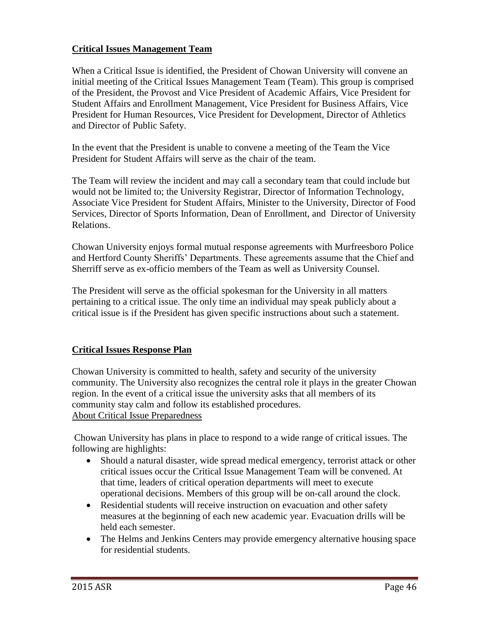#### **Critical Issues Management Team**

When a Critical Issue is identified, the President of Chowan University will convene an initial meeting of the Critical Issues Management Team (Team). This group is comprised of the President, the Provost and Vice President of Academic Affairs, Vice President for Student Affairs and Enrollment Management, Vice President for Business Affairs, Vice President for Human Resources, Vice President for Development, Director of Athletics and Director of Public Safety.

In the event that the President is unable to convene a meeting of the Team the Vice President for Student Affairs will serve as the chair of the team.

The Team will review the incident and may call a secondary team that could include but would not be limited to; the University Registrar, Director of Information Technology, Associate Vice President for Student Affairs, Minister to the University, Director of Food Services, Director of Sports Information, Dean of Enrollment, and Director of University Relations.

Chowan University enjoys formal mutual response agreements with Murfreesboro Police and Hertford County Sheriffs' Departments. These agreements assume that the Chief and Sherriff serve as ex-officio members of the Team as well as University Counsel.

The President will serve as the official spokesman for the University in all matters pertaining to a critical issue. The only time an individual may speak publicly about a critical issue is if the President has given specific instructions about such a statement.

#### **Critical Issues Response Plan**

Chowan University is committed to health, safety and security of the university community. The University also recognizes the central role it plays in the greater Chowan region. In the event of a critical issue the university asks that all members of its community stay calm and follow its established procedures. About Critical Issue Preparedness

Chowan University has plans in place to respond to a wide range of critical issues. The following are highlights:

- Should a natural disaster, wide spread medical emergency, terrorist attack or other critical issues occur the Critical Issue Management Team will be convened. At that time, leaders of critical operation departments will meet to execute operational decisions. Members of this group will be on-call around the clock.
- Residential students will receive instruction on evacuation and other safety measures at the beginning of each new academic year. Evacuation drills will be held each semester.
- The Helms and Jenkins Centers may provide emergency alternative housing space for residential students.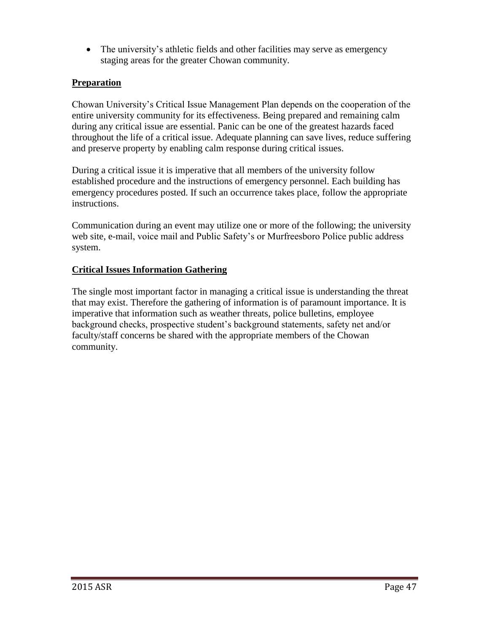• The university's athletic fields and other facilities may serve as emergency staging areas for the greater Chowan community.

#### **Preparation**

Chowan University's Critical Issue Management Plan depends on the cooperation of the entire university community for its effectiveness. Being prepared and remaining calm during any critical issue are essential. Panic can be one of the greatest hazards faced throughout the life of a critical issue. Adequate planning can save lives, reduce suffering and preserve property by enabling calm response during critical issues.

During a critical issue it is imperative that all members of the university follow established procedure and the instructions of emergency personnel. Each building has emergency procedures posted. If such an occurrence takes place, follow the appropriate instructions.

Communication during an event may utilize one or more of the following; the university web site, e-mail, voice mail and Public Safety's or Murfreesboro Police public address system.

#### **Critical Issues Information Gathering**

The single most important factor in managing a critical issue is understanding the threat that may exist. Therefore the gathering of information is of paramount importance. It is imperative that information such as weather threats, police bulletins, employee background checks, prospective student's background statements, safety net and/or faculty/staff concerns be shared with the appropriate members of the Chowan community.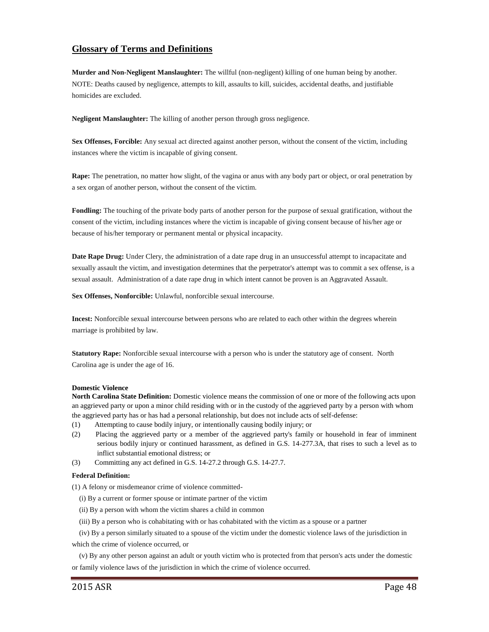#### **Glossary of Terms and Definitions**

**Murder and Non-Negligent Manslaughter:** The willful (non-negligent) killing of one human being by another. NOTE: Deaths caused by negligence, attempts to kill, assaults to kill, suicides, accidental deaths, and justifiable homicides are excluded.

**Negligent Manslaughter:** The killing of another person through gross negligence.

**Sex Offenses, Forcible:** Any sexual act directed against another person, without the consent of the victim, including instances where the victim is incapable of giving consent.

**Rape:** The penetration, no matter how slight, of the vagina or anus with any body part or object, or oral penetration by a sex organ of another person, without the consent of the victim.

**Fondling:** The touching of the private body parts of another person for the purpose of sexual gratification, without the consent of the victim, including instances where the victim is incapable of giving consent because of his/her age or because of his/her temporary or permanent mental or physical incapacity.

**Date Rape Drug:** Under Clery, the administration of a date rape drug in an unsuccessful attempt to incapacitate and sexually assault the victim, and investigation determines that the perpetrator's attempt was to commit a sex offense, is a sexual assault. Administration of a date rape drug in which intent cannot be proven is an Aggravated Assault.

**Sex Offenses, Nonforcible:** Unlawful, nonforcible sexual intercourse.

**Incest:** Nonforcible sexual intercourse between persons who are related to each other within the degrees wherein marriage is prohibited by law.

**Statutory Rape:** Nonforcible sexual intercourse with a person who is under the statutory age of consent. North Carolina age is under the age of 16.

#### **Domestic Violence**

**North Carolina State Definition:** Domestic violence means the commission of one or more of the following acts upon an aggrieved party or upon a minor child residing with or in the custody of the aggrieved party by a person with whom the aggrieved party has or has had a personal relationship, but does not include acts of self-defense:

- (1) Attempting to cause bodily injury, or intentionally causing bodily injury; or
- (2) Placing the aggrieved party or a member of the aggrieved party's family or household in fear of imminent serious bodily injury or continued harassment, as defined in G.S. 14-277.3A, that rises to such a level as to inflict substantial emotional distress; or
- (3) Committing any act defined in G.S. 14-27.2 through G.S. 14-27.7.

#### **Federal Definition:**

(1) A felony or misdemeanor crime of violence committed-

- (i) By a current or former spouse or intimate partner of the victim
- (ii) By a person with whom the victim shares a child in common
- (iii) By a person who is cohabitating with or has cohabitated with the victim as a spouse or a partner

(iv) By a person similarly situated to a spouse of the victim under the domestic violence laws of the jurisdiction in

which the crime of violence occurred, or

 (v) By any other person against an adult or youth victim who is protected from that person's acts under the domestic or family violence laws of the jurisdiction in which the crime of violence occurred.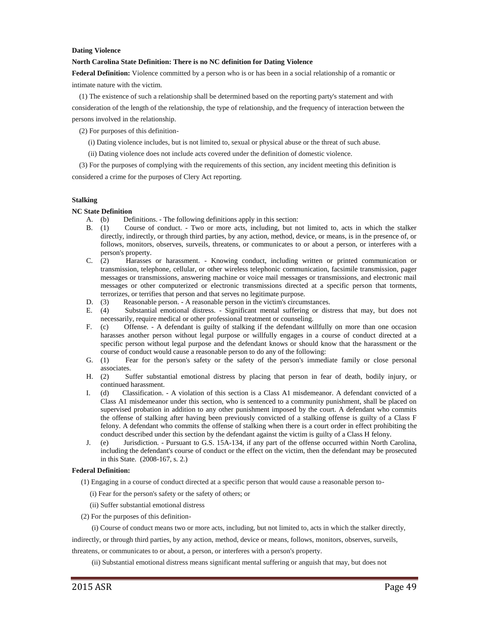#### **Dating Violence**

#### **North Carolina State Definition: There is no NC definition for Dating Violence**

**Federal Definition:** Violence committed by a person who is or has been in a social relationship of a romantic or intimate nature with the victim.

 (1) The existence of such a relationship shall be determined based on the reporting party's statement and with consideration of the length of the relationship, the type of relationship, and the frequency of interaction between the persons involved in the relationship.

(2) For purposes of this definition-

- (i) Dating violence includes, but is not limited to, sexual or physical abuse or the threat of such abuse.
- (ii) Dating violence does not include acts covered under the definition of domestic violence.

 (3) For the purposes of complying with the requirements of this section, any incident meeting this definition is considered a crime for the purposes of Clery Act reporting.

#### **Stalking**

#### **NC State Definition**

- A. (b) Definitions. The following definitions apply in this section:
- B. (1) Course of conduct. Two or more acts, including, but not limited to, acts in which the stalker directly, indirectly, or through third parties, by any action, method, device, or means, is in the presence of, or follows, monitors, observes, surveils, threatens, or communicates to or about a person, or interferes with a person's property.
- C. (2) Harasses or harassment. Knowing conduct, including written or printed communication or transmission, telephone, cellular, or other wireless telephonic communication, facsimile transmission, pager messages or transmissions, answering machine or voice mail messages or transmissions, and electronic mail messages or other computerized or electronic transmissions directed at a specific person that torments,
- terrorizes, or terrifies that person and that serves no legitimate purpose.<br>D. (3) Reasonable person. A reasonable person in the victim's circum D. (3) Reasonable person. - A reasonable person in the victim's circumstances.<br>E. (4) Substantial emotional distress. - Significant mental suffering or dist
- Substantial emotional distress. Significant mental suffering or distress that may, but does not necessarily, require medical or other professional treatment or counseling.
- F. (c) Offense. A defendant is guilty of stalking if the defendant willfully on more than one occasion harasses another person without legal purpose or willfully engages in a course of conduct directed at a specific person without legal purpose and the defendant knows or should know that the harassment or the course of conduct would cause a reasonable person to do any of the following:
- G. (1) Fear for the person's safety or the safety of the person's immediate family or close personal associates.
- H. (2) Suffer substantial emotional distress by placing that person in fear of death, bodily injury, or continued harassment.
- I. (d) Classification. A violation of this section is a Class A1 misdemeanor. A defendant convicted of a Class A1 misdemeanor under this section, who is sentenced to a community punishment, shall be placed on supervised probation in addition to any other punishment imposed by the court. A defendant who commits the offense of stalking after having been previously convicted of a stalking offense is guilty of a Class F felony. A defendant who commits the offense of stalking when there is a court order in effect prohibiting the conduct described under this section by the defendant against the victim is guilty of a Class H felony.
- J. (e) Jurisdiction. Pursuant to G.S. 15A-134, if any part of the offense occurred within North Carolina, including the defendant's course of conduct or the effect on the victim, then the defendant may be prosecuted in this State. (2008-167, s. 2.)

#### **Federal Definition:**

- (1) Engaging in a course of conduct directed at a specific person that would cause a reasonable person to-
	- (i) Fear for the person's safety or the safety of others; or
	- (ii) Suffer substantial emotional distress
- (2) For the purposes of this definition-

(i) Course of conduct means two or more acts, including, but not limited to, acts in which the stalker directly,

indirectly, or through third parties, by any action, method, device or means, follows, monitors, observes, surveils,

threatens, or communicates to or about, a person, or interferes with a person's property.

(ii) Substantial emotional distress means significant mental suffering or anguish that may, but does not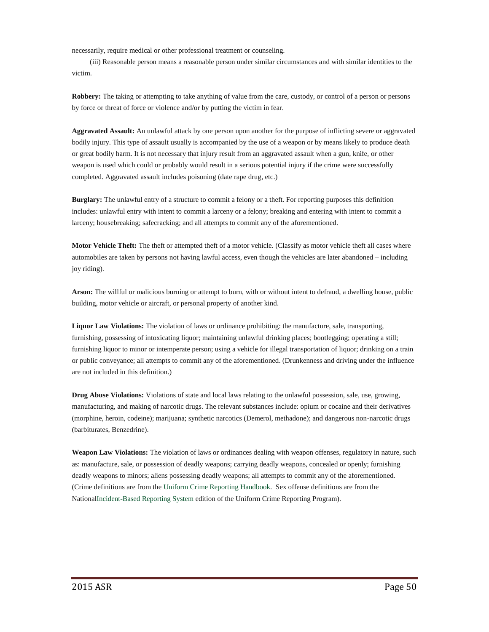necessarily, require medical or other professional treatment or counseling.

 (iii) Reasonable person means a reasonable person under similar circumstances and with similar identities to the victim.

**Robbery:** The taking or attempting to take anything of value from the care, custody, or control of a person or persons by force or threat of force or violence and/or by putting the victim in fear.

**Aggravated Assault:** An unlawful attack by one person upon another for the purpose of inflicting severe or aggravated bodily injury. This type of assault usually is accompanied by the use of a weapon or by means likely to produce death or great bodily harm. It is not necessary that injury result from an aggravated assault when a gun, knife, or other weapon is used which could or probably would result in a serious potential injury if the crime were successfully completed. Aggravated assault includes poisoning (date rape drug, etc.)

**Burglary:** The unlawful entry of a structure to commit a felony or a theft. For reporting purposes this definition includes: unlawful entry with intent to commit a larceny or a felony; breaking and entering with intent to commit a larceny; housebreaking; safecracking; and all attempts to commit any of the aforementioned.

**Motor Vehicle Theft:** The theft or attempted theft of a motor vehicle. (Classify as motor vehicle theft all cases where automobiles are taken by persons not having lawful access, even though the vehicles are later abandoned – including joy riding).

**Arson:** The willful or malicious burning or attempt to burn, with or without intent to defraud, a dwelling house, public building, motor vehicle or aircraft, or personal property of another kind.

**Liquor Law Violations:** The violation of laws or ordinance prohibiting: the manufacture, sale, transporting, furnishing, possessing of intoxicating liquor; maintaining unlawful drinking places; bootlegging; operating a still; furnishing liquor to minor or intemperate person; using a vehicle for illegal transportation of liquor; drinking on a train or public conveyance; all attempts to commit any of the aforementioned. (Drunkenness and driving under the influence are not included in this definition.)

**Drug Abuse Violations:** Violations of state and local laws relating to the unlawful possession, sale, use, growing, manufacturing, and making of narcotic drugs. The relevant substances include: opium or cocaine and their derivatives (morphine, heroin, codeine); marijuana; synthetic narcotics (Demerol, methadone); and dangerous non-narcotic drugs (barbiturates, Benzedrine).

**Weapon Law Violations:** The violation of laws or ordinances dealing with weapon offenses, regulatory in nature, such as: manufacture, sale, or possession of deadly weapons; carrying deadly weapons, concealed or openly; furnishing deadly weapons to minors; aliens possessing deadly weapons; all attempts to commit any of the aforementioned. (Crime definitions are from the Uniform Crime Reporting [Handbook.](http://www.dstaffordandassociates.com/wp-content/uploads/2013/04/UCR-Handbook-2004.pdf) Sex offense definitions are from the Nationa[lIncident-Based](http://www.dstaffordandassociates.com/wp-content/uploads/2013/09/NIBRS-Handbook-1-17-13.pdf) Reporting System edition of the Uniform Crime Reporting Program).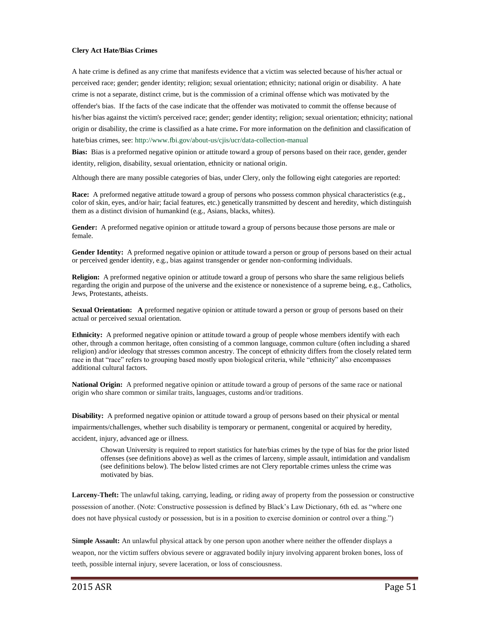#### **Clery Act Hate/Bias Crimes**

A hate crime is defined as any crime that manifests evidence that a victim was selected because of his/her actual or perceived race; gender; gender identity; religion; sexual orientation; ethnicity; national origin or disability. A hate crime is not a separate, distinct crime, but is the commission of a criminal offense which was motivated by the offender's bias. If the facts of the case indicate that the offender was motivated to commit the offense because of his/her bias against the victim's perceived race; gender; gender identity; religion; sexual orientation; ethnicity; national origin or disability, the crime is classified as a hate crime**.** For more information on the definition and classification of hate/bias crimes, see: <http://www.fbi.gov/about-us/cjis/ucr/data-collection-manual>

**Bias:** Bias is a preformed negative opinion or attitude toward a group of persons based on their race, gender, gender identity, religion, disability, sexual orientation, ethnicity or national origin.

Although there are many possible categories of bias, under Clery, only the following eight categories are reported:

**Race:** A preformed negative attitude toward a group of persons who possess common physical characteristics (e.g., color of skin, eyes, and/or hair; facial features, etc.) genetically transmitted by descent and heredity, which distinguish them as a distinct division of humankind (e.g., Asians, blacks, whites).

**Gender:** A preformed negative opinion or attitude toward a group of persons because those persons are male or female.

**Gender Identity:** A preformed negative opinion or attitude toward a person or group of persons based on their actual or perceived gender identity, e.g., bias against transgender or gender non-conforming individuals.

**Religion:** A preformed negative opinion or attitude toward a group of persons who share the same religious beliefs regarding the origin and purpose of the universe and the existence or nonexistence of a supreme being, e.g., Catholics, Jews, Protestants, atheists.

**Sexual Orientation: A** preformed negative opinion or attitude toward a person or group of persons based on their actual or perceived sexual orientation.

**Ethnicity:** A preformed negative opinion or attitude toward a group of people whose members identify with each other, through a common heritage, often consisting of a common language, common culture (often including a shared religion) and/or ideology that stresses common ancestry. The concept of ethnicity differs from the closely related term race in that "race" refers to grouping based mostly upon biological criteria, while "ethnicity" also encompasses additional cultural factors.

**National Origin:** A preformed negative opinion or attitude toward a group of persons of the same race or national origin who share common or similar traits, languages, customs and/or traditions.

**Disability:** A preformed negative opinion or attitude toward a group of persons based on their physical or mental impairments/challenges, whether such disability is temporary or permanent, congenital or acquired by heredity, accident, injury, advanced age or illness.

Chowan University is required to report statistics for hate/bias crimes by the type of bias for the prior listed offenses (see definitions above) as well as the crimes of larceny, simple assault, intimidation and vandalism (see definitions below). The below listed crimes are not Clery reportable crimes unless the crime was motivated by bias.

**Larceny-Theft:** The unlawful taking, carrying, leading, or riding away of property from the possession or constructive possession of another. (Note: Constructive possession is defined by Black's Law Dictionary, 6th ed. as "where one does not have physical custody or possession, but is in a position to exercise dominion or control over a thing.")

**Simple Assault:** An unlawful physical attack by one person upon another where neither the offender displays a weapon, nor the victim suffers obvious severe or aggravated bodily injury involving apparent broken bones, loss of teeth, possible internal injury, severe laceration, or loss of consciousness.